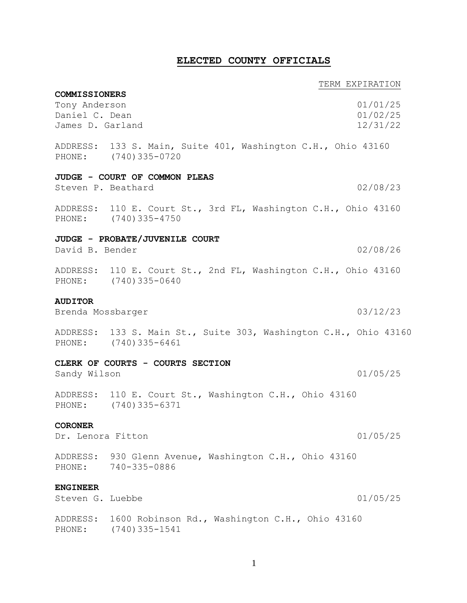## **ELECTED COUNTY OFFICIALS**

**COMMISSIONERS**

### TERM EXPIRATION

| Tony Anderson      |                                                                                           | 01/01/25 |
|--------------------|-------------------------------------------------------------------------------------------|----------|
| Daniel C. Dean     |                                                                                           | 01/02/25 |
| James D. Garland   |                                                                                           | 12/31/22 |
|                    | ADDRESS: 133 S. Main, Suite 401, Washington C.H., Ohio 43160<br>PHONE: (740) 335-0720     |          |
|                    | JUDGE - COURT OF COMMON PLEAS                                                             |          |
| Steven P. Beathard |                                                                                           | 02/08/23 |
|                    | ADDRESS: 110 E. Court St., 3rd FL, Washington C.H., Ohio 43160<br>PHONE: (740) 335-4750   |          |
|                    | JUDGE - PROBATE/JUVENILE COURT                                                            |          |
| David B. Bender    |                                                                                           | 02/08/26 |
|                    | ADDRESS: 110 E. Court St., 2nd FL, Washington C.H., Ohio 43160<br>PHONE: (740) 335-0640   |          |
| <b>AUDITOR</b>     |                                                                                           |          |
| Brenda Mossbarger  |                                                                                           | 03/12/23 |
|                    | ADDRESS: 133 S. Main St., Suite 303, Washington C.H., Ohio 43160<br>PHONE: (740) 335-6461 |          |
|                    | CLERK OF COURTS - COURTS SECTION                                                          |          |
| Sandy Wilson       |                                                                                           | 01/05/25 |
|                    | ADDRESS: 110 E. Court St., Washington C.H., Ohio 43160<br>PHONE: (740) 335-6371           |          |
| <b>CORONER</b>     |                                                                                           |          |
| Dr. Lenora Fitton  |                                                                                           | 01/05/25 |
| PHONE:             | ADDRESS: 930 Glenn Avenue, Washington C.H., Ohio 43160<br>740-335-0886                    |          |
| <b>ENGINEER</b>    |                                                                                           |          |
| Steven G. Luebbe   |                                                                                           | 01/05/25 |
| PHONE:             | ADDRESS: 1600 Robinson Rd., Washington C.H., Ohio 43160<br>(740)335-1541                  |          |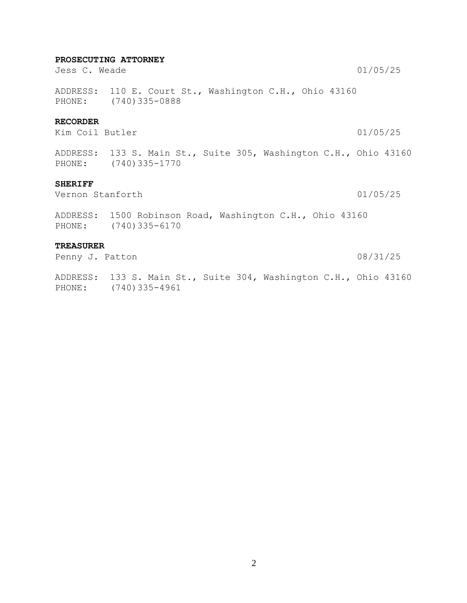#### **PROSECUTING ATTORNEY**

Jess C. Weade 01/05/25

ADDRESS: 110 E. Court St., Washington C.H., Ohio 43160 PHONE: (740)335-0888

#### **RECORDER**

Kim Coil Butler 01/05/25

ADDRESS: 133 S. Main St., Suite 305, Washington C.H., Ohio 43160 PHONE: (740)335-1770

#### **SHERIFF**

Vernon Stanforth 01/05/25

ADDRESS: 1500 Robinson Road, Washington C.H., Ohio 43160 PHONE: (740)335-6170

#### **TREASURER**

Penny J. Patton 08/31/25

ADDRESS: 133 S. Main St., Suite 304, Washington C.H., Ohio 43160 PHONE: (740)335-4961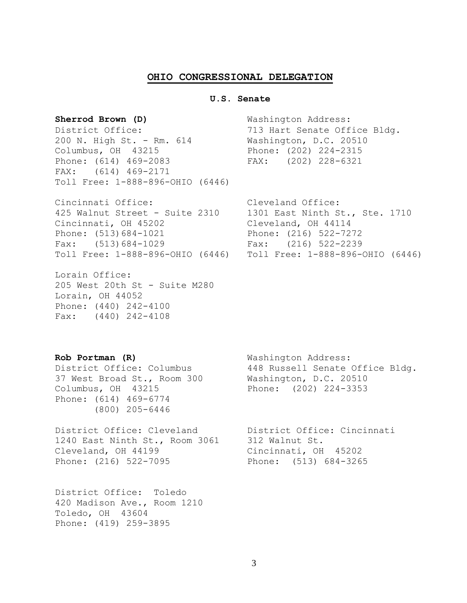#### **OHIO CONGRESSIONAL DELEGATION**

#### **U.S. Senate**

200 N. High St. - Rm. 614 Washington, D.C. 20510 Columbus, OH 43215 Phone: (202) 224-2315 Phone: (614) 469-2083 FAX: (202) 228-6321 FAX: (614) 469-2171 Toll Free: 1-888-896-OHIO (6446)

Cincinnati Office: Cleveland Office: 425 Walnut Street - Suite 2310 1301 East Ninth St., Ste. 1710 Cincinnati, OH 45202 Cleveland, OH 44114 Phone: (513)684-1021 Phone: (216) 522-7272 Fax: (513)684-1029 Fax: (216) 522-2239 Toll Free: 1-888-896-OHIO (6446) Toll Free: 1-888-896-OHIO (6446)

Lorain Office: 205 West 20th St - Suite M280 Lorain, OH 44052 Phone: (440) 242-4100 Fax: (440) 242-4108

Sherrod Brown (D) Washington Address: District Office: 713 Hart Senate Office Bldg.

37 West Broad St., Room 300 Washington, D.C. 20510 Columbus, OH 43215 Phone: (202) 224-3353 Phone: (614) 469-6774 (800) 205-6446

District Office: Cleveland District Office: Cincinnati 1240 East Ninth St., Room 3061 312 Walnut St. Cleveland, OH 44199 Cincinnati, OH 45202 Phone: (216) 522-7095 Phone: (513) 684-3265

District Office: Toledo 420 Madison Ave., Room 1210 Toledo, OH 43604 Phone: (419) 259-3895

**Rob Portman (R)** Washington Address: District Office: Columbus 448 Russell Senate Office Bldg.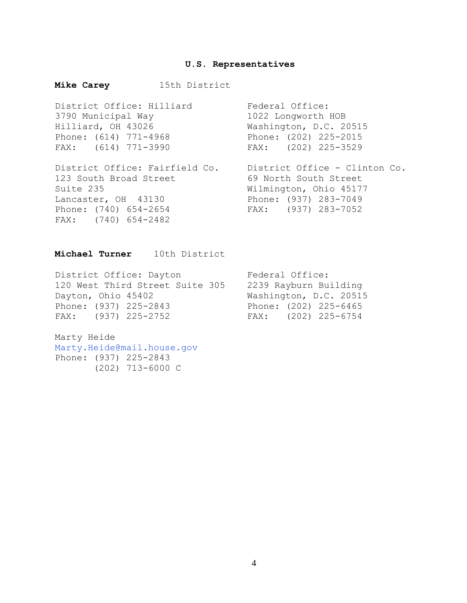#### **U.S. Representatives**

## **Mike Carey** 15th District District Office: Hilliard Federal Office: 3790 Municipal Way 1022 Longworth HOB Hilliard, OH 43026 Washington, D.C. 20515 Phone: (614) 771-4968 Phone: (202) 225-2015 FAX: (614) 771-3990 FAX: (202) 225-3529 District Office: Fairfield Co. District Office - Clinton Co. District United Patters of the Case of the Street<br>123 South Broad Street 69 North South Street<br>123 South Broad Street Suite 235 Wilmington, Ohio 45177 Lancaster, OH 43130 Phone: (937) 283-7049 Phone: (740) 654-2654 FAX: (937) 283-7052 FAX: (740) 654-2482

## **Michael Turner** 10th District

District Office: Dayton Federal Office: 120 West Third Street Suite 305 2239 Rayburn Building Dayton, Ohio 45402 Washington, D.C. 20515 Phone: (937) 225-2843 Phone: (202) 225-6465 FAX: (937) 225-2752 FAX: (202) 225-6754

Marty Heide Marty.Heide@mail.house.gov Phone: (937) 225-2843 (202) 713-6000 C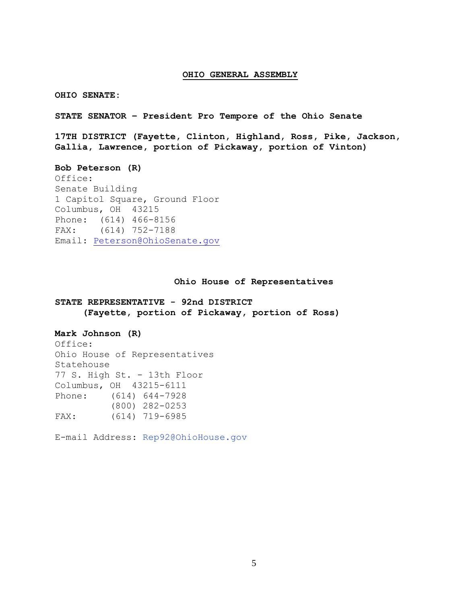#### **OHIO GENERAL ASSEMBLY**

**OHIO SENATE:**

**STATE SENATOR – President Pro Tempore of the Ohio Senate**

**17TH DISTRICT (Fayette, Clinton, Highland, Ross, Pike, Jackson, Gallia, Lawrence, portion of Pickaway, portion of Vinton)**

#### **Bob Peterson (R)**

Office: Senate Building 1 Capitol Square, Ground Floor Columbus, OH 43215 Phone: (614) 466-8156 FAX: (614) 752-7188 Email: [Peterson@OhioSenate.gov](mailto:Peterson@OhioSenate.gov)

#### **Ohio House of Representatives**

**STATE REPRESENTATIVE - 92nd DISTRICT (Fayette, portion of Pickaway, portion of Ross)**

#### **Mark Johnson (R)**

Office: Ohio House of Representatives Statehouse 77 S. High St. - 13th Floor Columbus, OH 43215-6111 Phone: (614) 644-7928 (800) 282-0253 FAX: (614) 719-6985

E-mail Address: Rep92@OhioHouse.gov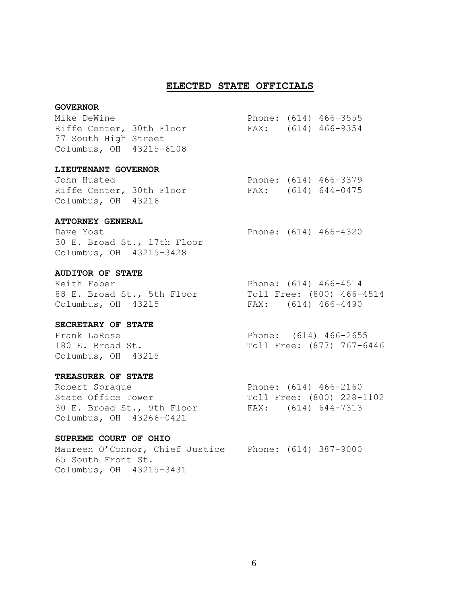#### **ELECTED STATE OFFICIALS**

#### **GOVERNOR**

| Mike DeWine              |  | Phone: (614) 466-3555 |
|--------------------------|--|-----------------------|
| Riffe Center, 30th Floor |  | FAX: (614) 466-9354   |
| 77 South High Street     |  |                       |
| Columbus, OH 43215-6108  |  |                       |

#### **LIEUTENANT GOVERNOR**

| John Husted              |  | Phone: (614) 466-3379 |
|--------------------------|--|-----------------------|
| Riffe Center, 30th Floor |  | FAX: (614) 644-0475   |
| Columbus, OH 43216       |  |                       |

#### **ATTORNEY GENERAL**

Dave Yost Phone: (614) 466-4320 30 E. Broad St., 17th Floor Columbus, OH 43215-3428

#### **AUDITOR OF STATE**

Keith Faber Phone: (614) 466-4514 88 E. Broad St., 5th Floor Columbus, OH 43215 FAX: (614) 466-4490

#### **SECRETARY OF STATE**

Columbus, OH 43215

#### **TREASURER OF STATE**

Robert Spraque Phone: (614) 466-2160 State Office Tower Toll Free: (800) 228-1102 30 E. Broad St., 9th Floor FAX: (614) 644-7313 Columbus, OH 43266-0421

#### **SUPREME COURT OF OHIO**

Maureen O'Connor, Chief Justice Phone: (614) 387-9000 65 South Front St. Columbus, OH 43215-3431

Frank LaRose **Phone:** (614) 466-2655 180 E. Broad St. Toll Free: (877) 767-6446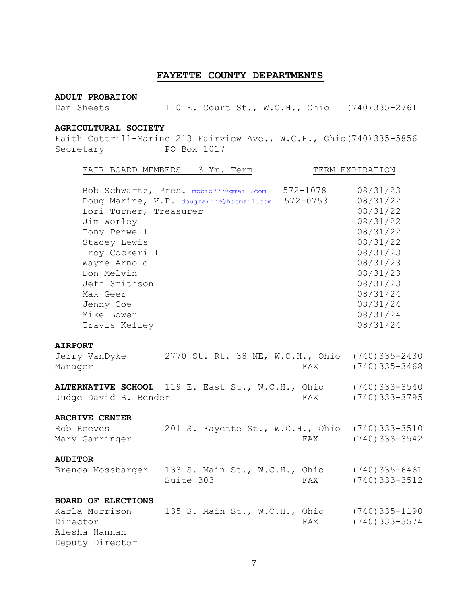## **FAYETTE COUNTY DEPARTMENTS**

#### **ADULT PROBATION**

Dan Sheets 110 E. Court St., W.C.H., Ohio (740)335-2761

#### **AGRICULTURAL SOCIETY**

Faith Cottrill-Marine 213 Fairview Ave., W.C.H., Ohio(740)335-5856 Secretary PO Box 1017

|                           | FAIR BOARD MEMBERS - 3 Yr. Term                  |              | TERM EXPIRATION  |
|---------------------------|--------------------------------------------------|--------------|------------------|
|                           | Bob Schwartz, Pres. mzbid777@gmail.com           | 572-1078     | 08/31/23         |
|                           | Doug Marine, V.P. dougmarine@hotmail.com         | $572 - 0753$ | 08/31/22         |
| Lori Turner, Treasurer    |                                                  |              | 08/31/22         |
| Jim Worley                |                                                  |              | 08/31/22         |
| Tony Penwell              |                                                  |              | 08/31/22         |
| Stacey Lewis              |                                                  |              | 08/31/22         |
| Troy Cockerill            |                                                  |              | 08/31/23         |
| Wayne Arnold              |                                                  |              | 08/31/23         |
| Don Melvin                |                                                  |              | 08/31/23         |
| Jeff Smithson             |                                                  |              | 08/31/23         |
| Max Geer                  |                                                  |              | 08/31/24         |
| Jenny Coe                 |                                                  |              | 08/31/24         |
| Mike Lower                |                                                  |              | 08/31/24         |
| Travis Kelley             |                                                  |              | 08/31/24         |
|                           |                                                  |              |                  |
| <b>AIRPORT</b>            |                                                  |              |                  |
| Jerry VanDyke             | 2770 St. Rt. 38 NE, W.C.H., Ohio                 |              | $(740)$ 335-2430 |
| Manager                   |                                                  | FAX          | $(740)$ 335-3468 |
|                           |                                                  |              |                  |
|                           | ALTERNATIVE SCHOOL 119 E. East St., W.C.H., Ohio |              | $(740)$ 333-3540 |
| Judge David B. Bender     |                                                  | FAX          | $(740)$ 333-3795 |
|                           |                                                  |              |                  |
| <b>ARCHIVE CENTER</b>     |                                                  |              |                  |
| Rob Reeves                | 201 S. Fayette St., W.C.H., Ohio                 |              | $(740)$ 333-3510 |
| Mary Garringer            |                                                  | FAX          | $(740)$ 333-3542 |
| <b>AUDITOR</b>            |                                                  |              |                  |
|                           |                                                  |              |                  |
| Brenda Mossbarger         | 133 S. Main St., W.C.H., Ohio                    |              | $(740)$ 335-6461 |
|                           | Suite 303                                        | FAX          | $(740)$ 333-3512 |
| <b>BOARD OF ELECTIONS</b> |                                                  |              |                  |
| Karla Morrison            | 135 S. Main St., W.C.H., Ohio                    |              | $(740)$ 335-1190 |
| Director                  |                                                  | FAX          | $(740)$ 333-3574 |
| Alesha Hannah             |                                                  |              |                  |
| Deputy Director           |                                                  |              |                  |
|                           |                                                  |              |                  |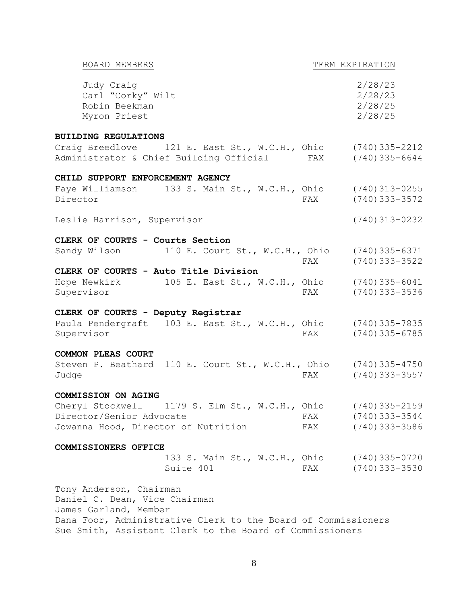| BOARD MEMBERS                                                                                                                                      |     | TERM EXPIRATION                          |
|----------------------------------------------------------------------------------------------------------------------------------------------------|-----|------------------------------------------|
| Judy Craig<br>Carl "Corky" Wilt<br>Robin Beekman<br>Myron Priest                                                                                   |     | 2/28/23<br>2/28/23<br>2/28/25<br>2/28/25 |
| <b>BUILDING REGULATIONS</b>                                                                                                                        |     |                                          |
| Craig Breedlove 121 E. East St., W.C.H., Ohio $(740)$ 335-2212<br>Administrator & Chief Building Official                                          | FAX | $(740)$ 335-6644                         |
| CHILD SUPPORT ENFORCEMENT AGENCY                                                                                                                   |     |                                          |
| Faye Williamson 133 S. Main St., W.C.H., Ohio (740) 313-0255<br>Director                                                                           | FAX | $(740)$ 333-3572                         |
| Leslie Harrison, Supervisor                                                                                                                        |     | $(740)$ 313-0232                         |
| CLERK OF COURTS - Courts Section                                                                                                                   |     |                                          |
| Sandy Wilson 110 E. Court St., W.C.H., Ohio (740) 335-6371                                                                                         | FAX | $(740)$ 333-3522                         |
| CLERK OF COURTS - Auto Title Division                                                                                                              |     |                                          |
| Hope Newkirk<br>105 E. East St., W.C.H., Ohio (740) 335-6041<br>Supervisor                                                                         | FAX | $(740)$ 333-3536                         |
| CLERK OF COURTS - Deputy Registrar                                                                                                                 |     |                                          |
| Paula Pendergraft 103 E. East St., W.C.H., Ohio (740) 335-7835<br>Supervisor                                                                       | FAX | $(740)$ 335-6785                         |
| <b>COMMON PLEAS COURT</b>                                                                                                                          |     |                                          |
| Steven P. Beathard 110 E. Court St., W.C.H., Ohio (740) 335-4750<br>Judge                                                                          | FAX | $(740)$ 333-3557                         |
| COMMISSION ON AGING                                                                                                                                |     |                                          |
| Cheryl Stockwell 1179 S. Elm St., W.C.H., Ohio                                                                                                     |     | $(740)$ 335-2159                         |
| Director/Senior Advocate                                                                                                                           | FAX | (740) 333-3544                           |
| Jowanna Hood, Director of Nutrition                                                                                                                | FAX | $(740)$ 333-3586                         |
| COMMISSIONERS OFFICE                                                                                                                               |     |                                          |
| 133 S. Main St., W.C.H., Ohio (740) 335-0720<br>Suite 401                                                                                          | FAX | $(740)$ 333-3530                         |
| Tony Anderson, Chairman<br>Daniel C. Dean, Vice Chairman<br>James Garland, Member<br>Dana Foor, Administrative Clerk to the Board of Commissioners |     |                                          |

Sue Smith, Assistant Clerk to the Board of Commissioners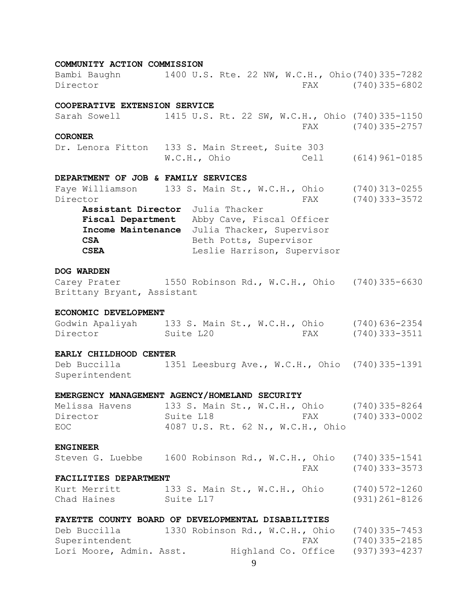## **COMMUNITY ACTION COMMISSION** Bambi Baughn 1400 U.S. Rte. 22 NW, W.C.H., Ohio(740)335-7282 Director FAX (740)335-6802 **COOPERATIVE EXTENSION SERVICE** Sarah Sowell 1415 U.S. Rt. 22 SW, W.C.H., Ohio (740)335-1150 FAX (740)335-2757 **CORONER** Dr. Lenora Fitton 133 S. Main Street, Suite 303 W.C.H., Ohio Cell (614)961-0185 **DEPARTMENT OF JOB & FAMILY SERVICES** Faye Williamson 133 S. Main St., W.C.H., Ohio (740)313-0255 Director FAX (740)333-3572 **Assistant Director** Julia Thacker **Fiscal Department** Abby Cave, Fiscal Officer

**Income Maintenance** Julia Thacker, Supervisor **CSA** Beth Potts, Supervisor **CSEA** Leslie Harrison, Supervisor

#### **DOG WARDEN**

Carey Prater 1550 Robinson Rd., W.C.H., Ohio (740)335-6630 Brittany Bryant, Assistant

#### **ECONOMIC DEVELOPMENT**

| Godwin Apaliyah | 133 S. Main St., W.C.H., Ohio |     | $(740)636 - 2354$ |
|-----------------|-------------------------------|-----|-------------------|
| Director        | Suite L20                     | FAX | (740)333-3511     |

#### **EARLY CHILDHOOD CENTER**

Deb Buccilla 1351 Leesburg Ave., W.C.H., Ohio (740)335-1391 Superintendent

#### **EMERGENCY MANAGEMENT AGENCY/HOMELAND SECURITY**

Melissa Havens 133 S. Main St., W.C.H., Ohio (740)335-8264 Director Suite L18 FAX (740)333-0002 EOC 4087 U.S. Rt. 62 N., W.C.H., Ohio

#### **ENGINEER**

|  | Steven G. Luebbe      |  |  |     | 1600 Robinson Rd., W.C.H., Ohio (740)335-1541 |
|--|-----------------------|--|--|-----|-----------------------------------------------|
|  |                       |  |  | FAX | (740)333-3573                                 |
|  | FACILITIES DEPARTMENT |  |  |     |                                               |

## Kurt Merritt 133 S. Main St., W.C.H., Ohio (740)572-1260

Chad Haines Suite L17 (931)261-8126

#### **FAYETTE COUNTY BOARD OF DEVELOPMENTAL DISABILITIES**

| Deb Buccilla             | 1330 Robinson Rd., W.C.H., Ohio | (740) 335-7453       |  |
|--------------------------|---------------------------------|----------------------|--|
| Superintendent           |                                 | (740)335-2185<br>FAX |  |
| Lori Moore, Admin. Asst. | Highland Co. Office             | (937)393-4237        |  |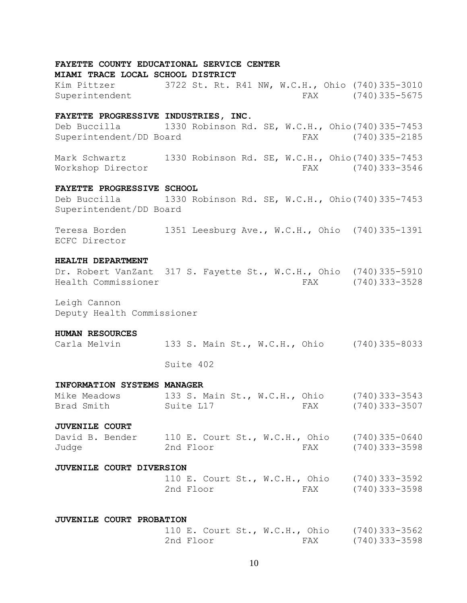#### **FAYETTE COUNTY EDUCATIONAL SERVICE CENTER**

**MIAMI TRACE LOCAL SCHOOL DISTRICT**

Kim Pittzer 3722 St. Rt. R41 NW, W.C.H., Ohio (740)335-3010 Superintendent FAX (740)335-5675

#### **FAYETTE PROGRESSIVE INDUSTRIES, INC.**

Deb Buccilla 1330 Robinson Rd. SE, W.C.H., Ohio(740)335-7453 Superintendent/DD Board FAX (740)335-2185

Mark Schwartz 1330 Robinson Rd. SE, W.C.H., Ohio(740)335-7453 Workshop Director FAX (740)333-3546

#### **FAYETTE PROGRESSIVE SCHOOL**

Deb Buccilla 1330 Robinson Rd. SE, W.C.H., Ohio(740)335-7453 Superintendent/DD Board

Teresa Borden 1351 Leesburg Ave., W.C.H., Ohio (740)335-1391 ECFC Director

#### **HEALTH DEPARTMENT**

Dr. Robert VanZant 317 S. Fayette St., W.C.H., Ohio (740)335-5910 Health Commissioner FAX (740)333-3528

Leigh Cannon Deputy Health Commissioner

#### **HUMAN RESOURCES**

| Carla Melvin |  |  |  | 133 S. Main St., W.C.H., Ohio |  | $(740)$ 335-8033 |
|--------------|--|--|--|-------------------------------|--|------------------|
|--------------|--|--|--|-------------------------------|--|------------------|

Suite 402

#### **INFORMATION SYSTEMS MANAGER**

| Mike Meadows |           |  | 133 S. Main St., W.C.H., Ohio |     | (740) 333-3543 |
|--------------|-----------|--|-------------------------------|-----|----------------|
| Brad Smith   | Suite L17 |  |                               | FAX | (740) 333-3507 |

#### **JUVENILE COURT**

| David B. Bender | 110 E. Court St., W.C.H., Ohio |     | $(740)$ 335-0640 |
|-----------------|--------------------------------|-----|------------------|
| Judge           | 2nd Floor                      | FAX | (740) 333–3598   |

#### **JUVENILE COURT DIVERSION**

|           |  | 110 E. Court St., W.C.H., Ohio | $(740)$ 333-3592 |
|-----------|--|--------------------------------|------------------|
| 2nd Floor |  | FAX                            | (740) 333-3598   |

#### **JUVENILE COURT PROBATION**

|           | 110 E. Court St., W.C.H., Ohio | $(740)$ 333-3562 |
|-----------|--------------------------------|------------------|
| 2nd Floor | FAX                            | $(740)$ 333-3598 |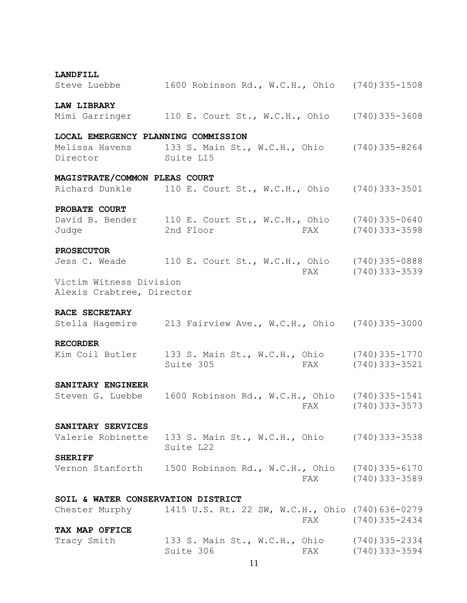| <b>LANDFILL</b>                     |                                                                                  |                    |
|-------------------------------------|----------------------------------------------------------------------------------|--------------------|
| Steve Luebbe                        | 1600 Robinson Rd., W.C.H., Ohio (740)335-1508                                    |                    |
| <b>LAW LIBRARY</b>                  |                                                                                  |                    |
|                                     | Mimi Garringer 110 E. Court St., W.C.H., Ohio (740) 335-3608                     |                    |
| LOCAL EMERGENCY PLANNING COMMISSION |                                                                                  |                    |
|                                     | Melissa Havens 133 S. Main St., W.C.H., Ohio (740) 335-8264                      |                    |
| Director Suite L15                  |                                                                                  |                    |
| MAGISTRATE/COMMON PLEAS COURT       |                                                                                  |                    |
|                                     | Richard Dunkle 110 E. Court St., W.C.H., Ohio (740) 333-3501                     |                    |
| PROBATE COURT                       |                                                                                  |                    |
|                                     | David B. Bender 110 E. Court St., W.C.H., Ohio (740) 335-0640                    |                    |
| Judge                               | 2nd Floor                                                                        | FAX (740) 333-3598 |
| <b>PROSECUTOR</b>                   |                                                                                  |                    |
|                                     | Jess C. Weade 110 E. Court St., W.C.H., Ohio (740) 335-0888                      |                    |
|                                     |                                                                                  | FAX (740) 333-3539 |
| Victim Witness Division             |                                                                                  |                    |
| Alexis Crabtree, Director           |                                                                                  |                    |
| RACE SECRETARY                      |                                                                                  |                    |
|                                     | Stella Hagemire 213 Fairview Ave., W.C.H., Ohio (740) 335-3000                   |                    |
| <b>RECORDER</b>                     |                                                                                  |                    |
|                                     | Kim Coil Butler 133 S. Main St., W.C.H., Ohio (740) 335-1770<br>Suite 305<br>FAX | $(740)$ 333-3521   |
| SANITARY ENGINEER                   |                                                                                  |                    |
| Steven G. Luebbe                    | 1600 Robinson Rd., W.C.H., Ohio (740)335-1541<br>FAX                             | $(740)$ 333-3573   |
| SANITARY SERVICES                   |                                                                                  |                    |
| Valerie Robinette                   | 133 S. Main St., W.C.H., Ohio (740) 333-3538<br>Suite L22                        |                    |
| <b>SHERIFF</b>                      |                                                                                  |                    |
|                                     | Vernon Stanforth 1500 Robinson Rd., W.C.H., Ohio (740)335-6170                   | FAX (740) 333-3589 |
| SOIL & WATER CONSERVATION DISTRICT  |                                                                                  |                    |
|                                     | Chester Murphy 1415 U.S. Rt. 22 SW, W.C.H., Ohio (740) 636-0279                  | FAX (740) 335-2434 |
| TAX MAP OFFICE                      |                                                                                  |                    |
| Tracy Smith                         | 133 S. Main St., W.C.H., Ohio (740) 335-2334<br>Suite 306                        | FAX (740) 333-3594 |
|                                     | 11                                                                               |                    |
|                                     |                                                                                  |                    |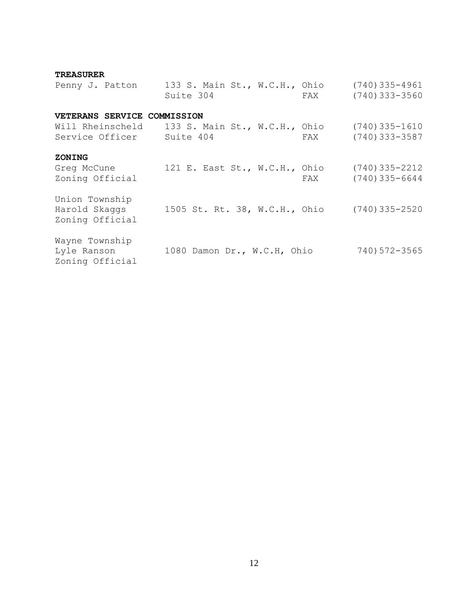#### **TREASURER**

| Penny J. Patton                                    | 133 S. Main St., W.C.H., Ohio<br>Suite 304<br>FAX | $(740)$ 335-4961<br>$(740)$ 333-3560 |
|----------------------------------------------------|---------------------------------------------------|--------------------------------------|
| VETERANS SERVICE COMMISSION                        |                                                   |                                      |
| Will Rheinscheld<br>Service Officer                | 133 S. Main St., W.C.H., Ohio<br>Suite 404<br>FAX | $(740)$ 335-1610<br>$(740)$ 333-3587 |
| <b>ZONING</b><br>Greg McCune<br>Zoning Official    | 121 E. East St., W.C.H., Ohio<br>FAX              | $(740)$ 335-2212<br>$(740)$ 335-6644 |
| Union Township<br>Harold Skaggs<br>Zoning Official | 1505 St. Rt. 38, W.C.H., Ohio                     | $(740)$ 335-2520                     |
| Wayne Township<br>Lyle Ranson<br>Zoning Official   | 1080 Damon Dr., W.C.H, Ohio                       | 740) 572-3565                        |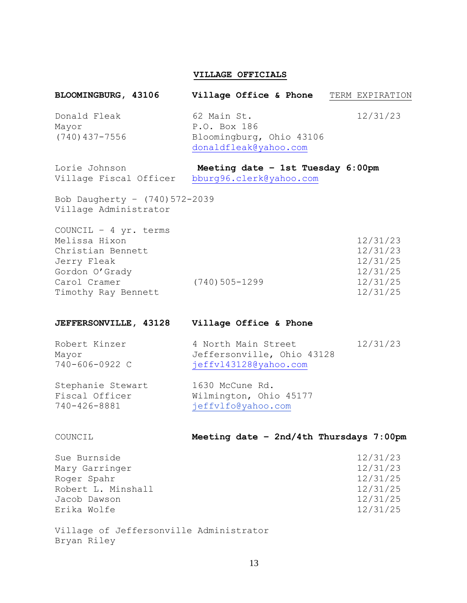#### **VILLAGE OFFICIALS**

## **BLOOMINGBURG, 43106 Village Office & Phone** TERM EXPIRATION Donald Fleak 62 Main St. 12/31/23 Mayor P.O. Box 186 (740)437-7556 Bloomingburg, Ohio 43106 donaldfleak@yahoo.com

Lorie Johnson **Meeting date – 1st Tuesday 6:00pm** Village Fiscal Officer bburg96.clerk@yahoo.com

Bob Daugherty – (740)572-2039 Village Administrator

|                  | 12/31/23 |
|------------------|----------|
|                  | 12/31/23 |
|                  | 12/31/25 |
|                  | 12/31/25 |
| $(740)$ 505-1299 | 12/31/25 |
|                  | 12/31/25 |
|                  |          |

#### **JEFFERSONVILLE, 43128 Village Office & Phone**

| Robert Kinzer  | 4 North Main Street        | 12/31/23 |
|----------------|----------------------------|----------|
| Mayor          | Jeffersonville, Ohio 43128 |          |
| 740-606-0922 C | jeffvl43128@yahoo.com      |          |

## Stephanie Stewart 1630 McCune Rd. Fiscal Officer Wilmington, Ohio 45177 740-426-8881 jeffvlfo@yahoo.com

#### COUNCIL **Meeting date – 2nd/4th Thursdays 7:00pm**

| Sue Burnside       | 12/31/23 |
|--------------------|----------|
| Mary Garringer     | 12/31/23 |
| Roger Spahr        | 12/31/25 |
| Robert L. Minshall | 12/31/25 |
| Jacob Dawson       | 12/31/25 |
| Erika Wolfe        | 12/31/25 |
|                    |          |

Village of Jeffersonville Administrator Bryan Riley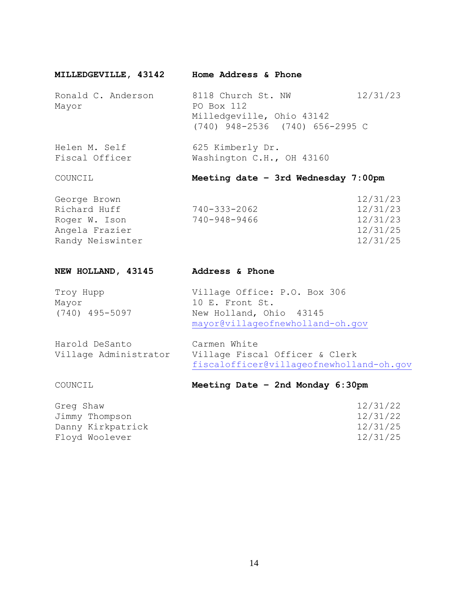|  | MILLEDGEVILLE, 43142 |  | Home Address & Phone |
|--|----------------------|--|----------------------|
|--|----------------------|--|----------------------|

Ronald C. Anderson 8118 Church St. NW 12/31/23 Mayor PO Box 112 Milledgeville, Ohio 43142 (740) 948-2536 (740) 656-2995 C

Helen M. Self 625 Kimberly Dr.<br>Fiscal Officer 625 Washington C.H.,  $625$  Kimweity Si.<br>Washington C.H., OH 43160

## COUNCIL **Meeting date – 3rd Wednesday 7:00pm**

| George Brown     |              | 12/31/23 |
|------------------|--------------|----------|
| Richard Huff     | 740-333-2062 | 12/31/23 |
| Roger W. Ison    | 740-948-9466 | 12/31/23 |
| Angela Frazier   |              | 12/31/25 |
| Randy Neiswinter |              | 12/31/25 |
|                  |              |          |

| NEW HOLLAND, 43145                      | Address & Phone                                                                                                |
|-----------------------------------------|----------------------------------------------------------------------------------------------------------------|
| Troy Hupp<br>Mayor<br>$(740)$ 495-5097  | Village Office: P.O. Box 306<br>10 E. Front St.<br>New Holland, Ohio 43145<br>mayor@villageofnewholland-oh.gov |
| Harold DeSanto<br>Village Administrator | Carmen White<br>Village Fiscal Officer & Clerk<br>fiscalofficer@villageofnewholland-oh.gov                     |

## COUNCIL **Meeting Date – 2nd Monday 6:30pm**

| Greg Shaw         | 12/31/22 |
|-------------------|----------|
| Jimmy Thompson    | 12/31/22 |
| Danny Kirkpatrick | 12/31/25 |
| Floyd Woolever    | 12/31/25 |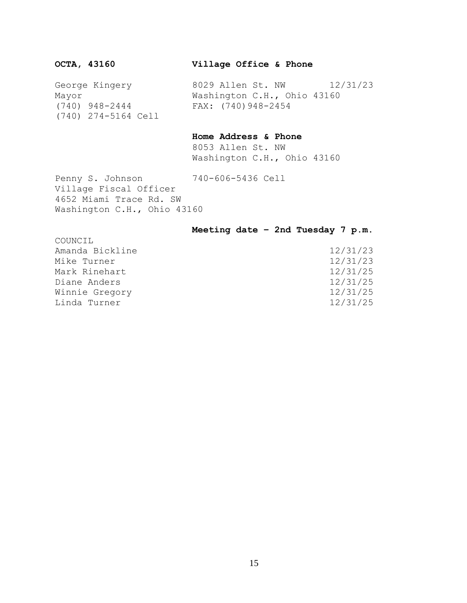**OCTA, 43160 Village Office & Phone**

George Kingery 8029 Allen St. NW 12/31/23 Mayor Washington C.H., Ohio 43160 (740) 948-2444 FAX: (740)948-2454 (740) 274-5164 Cell

#### **Home Address & Phone**

8053 Allen St. NW Washington C.H., Ohio 43160

Penny S. Johnson 740-606-5436 Cell

Village Fiscal Officer 4652 Miami Trace Rd. SW Washington C.H., Ohio 43160

#### **Meeting date – 2nd Tuesday 7 p.m.**

| COUNCIL         |          |
|-----------------|----------|
| Amanda Bickline | 12/31/23 |
| Mike Turner     | 12/31/23 |
| Mark Rinehart   | 12/31/25 |
| Diane Anders    | 12/31/25 |
| Winnie Gregory  | 12/31/25 |
| Linda Turner    | 12/31/25 |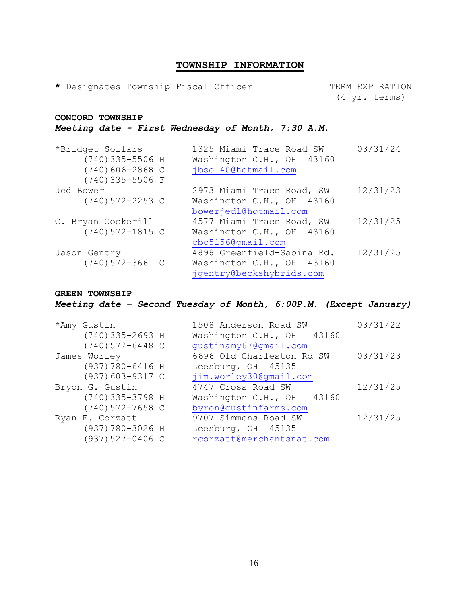## **TOWNSHIP INFORMATION**

\* Designates Township Fiscal Officer TERM EXPIRATION

(4 yr. terms)

## **CONCORD TOWNSHIP** *Meeting date - First Wednesday of Month, 7:30 A.M.*

| *Bridget Sollars     | 1325 Miami Trace Road SW   | 03/31/24 |
|----------------------|----------------------------|----------|
| $(740)$ 335-5506 H   | Washington C.H., OH 43160  |          |
| $(740)606 - 2868$ C  | jbsol40@hotmail.com        |          |
| $(740)$ 335-5506 F   |                            |          |
| Jed Bower            | 2973 Miami Trace Road, SW  | 12/31/23 |
| $(740) 572 - 2253$ C | Washington C.H., OH 43160  |          |
|                      | bowerjed1@hotmail.com      |          |
| C. Bryan Cockerill   | 4577 Miami Trace Road, SW  | 12/31/25 |
| $(740) 572 - 1815$ C | Washington C.H., OH 43160  |          |
|                      | $cbc51560$ qmail.com       |          |
| Jason Gentry         | 4898 Greenfield-Sabina Rd. | 12/31/25 |
| $(740) 572 - 3661$ C | Washington C.H., OH 43160  |          |
|                      | jgentry@beckshybrids.com   |          |

#### **GREEN TOWNSHIP**

*Meeting date – Second Tuesday of Month, 6:00P.M. (Except January)*

| *Amy Gustin          | 1508 Anderson Road SW     | 03/31/22 |
|----------------------|---------------------------|----------|
| $(740)$ 335-2693 H   | Washington C.H., OH 43160 |          |
| $(740) 572 - 6448$ C | qustinamy67@qmail.com     |          |
| James Worley         | 6696 Old Charleston Rd SW | 03/31/23 |
| (937) 780-6416 H     | Leesburg, OH 45135        |          |
| $(937)603 - 9317$ C  | jim.worley30@gmail.com    |          |
| Bryon G. Gustin      | 4747 Cross Road SW        | 12/31/25 |
| $(740)$ 335-3798 H   | Washington C.H., OH 43160 |          |
| $(740)$ 572-7658 C   | byron@qustinfarms.com     |          |
| Ryan E. Corzatt      | 9707 Simmons Road SW      | 12/31/25 |
| (937) 780-3026 H     | Leesburg, OH 45135        |          |
| $(937) 527 - 0406$ C | rcorzatt@merchantsnat.com |          |
|                      |                           |          |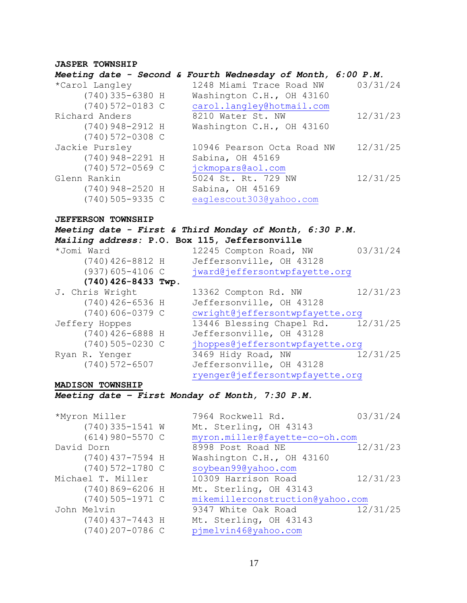#### **JASPER TOWNSHIP**

## *Meeting date - Second & Fourth Wednesday of Month, 6:00 P.M.* \*Carol Langley 1248 Miami Trace Road NW 03/31/24 (740)335-6380 H Washington C.H., OH 43160 (740)572-0183 C [carol.langley@hotmail.com](mailto:carol.langley@hotmail.com) Richard Anders 8210 Water St. NW 12/31/23 (740)948-2912 H Washington C.H., OH 43160 (740)572-0308 C Jackie Pursley 10946 Pearson Octa Road NW 12/31/25 (740)948-2291 H Sabina, OH 45169 (740)572-0569 C jckmopars@aol.com Glenn Rankin 5024 St. Rt. 729 NW 12/31/25

(740)948-2520 H Sabina, OH 45169 (740)505-9335 C eaglescout303@yahoo.com

#### **JEFFERSON TOWNSHIP**

| Meeting date - First & Third Monday of Month, 6:30 P.M. |                                    |          |
|---------------------------------------------------------|------------------------------------|----------|
| Mailing address: P.O. Box 115, Jeffersonville           |                                    |          |
| *Jomi Ward                                              | 12245 Compton Road, NW             | 03/31/24 |
| $(740)$ 426-8812 H                                      | Jeffersonville, OH 43128           |          |
| $(937)605 - 4106$ C                                     | jward@jeffersontwpfayette.org      |          |
| (740) 426-8433 Twp.                                     |                                    |          |
| J. Chris Wright                                         | 13362 Compton Rd. NW               | 12/31/23 |
| $(740)$ 426-6536 H                                      | Jeffersonville, OH 43128           |          |
| $(740)606 - 0379$ C                                     | cwright@jeffersontwpfayette.org    |          |
| Jeffery Hoppes                                          | 13446 Blessing Chapel Rd. 12/31/25 |          |
| $(740)$ 426-6888 H                                      | Jeffersonville, OH 43128           |          |
| $(740)$ 505-0230 C                                      | jhoppes@jeffersontwpfayette.org    |          |
| Ryan R. Yenger                                          | 3469 Hidy Road, NW                 | 12/31/25 |
| $(740) 572 - 6507$                                      | Jeffersonville, OH 43128           |          |
|                                                         | ryenger@jeffersontwpfayette.org    |          |

#### **MADISON TOWNSHIP**

#### *Meeting date – First Monday of Month, 7:30 P.M.*

\*Myron Miller (740)335-1541 W  $(614)980-5570$  C David Dorn (740)437-7594 H  $(740)572-1780$  C Michael T. Miller  $(740)869-6206$  H  $(740)505-1971$  C John Melvin  $(740)437 - 7443$  H  $(740)207-0786$  C

| Mt. Sterling, OH 43143<br>myron.miller@fayette-co-oh.com<br>12/31/23<br>8998 Post Road NE<br>Washington C.H., OH 43160<br>soybean99@yahoo.com<br>12/31/23<br>10309 Harrison Road |
|----------------------------------------------------------------------------------------------------------------------------------------------------------------------------------|
|                                                                                                                                                                                  |
|                                                                                                                                                                                  |
|                                                                                                                                                                                  |
|                                                                                                                                                                                  |
|                                                                                                                                                                                  |
|                                                                                                                                                                                  |
| Mt. Sterling, OH 43143                                                                                                                                                           |
| mikemillerconstruction@yahoo.com                                                                                                                                                 |
| 12/31/25<br>9347 White Oak Road                                                                                                                                                  |
| Mt. Sterling, OH 43143                                                                                                                                                           |
| pjmelvin46@yahoo.com                                                                                                                                                             |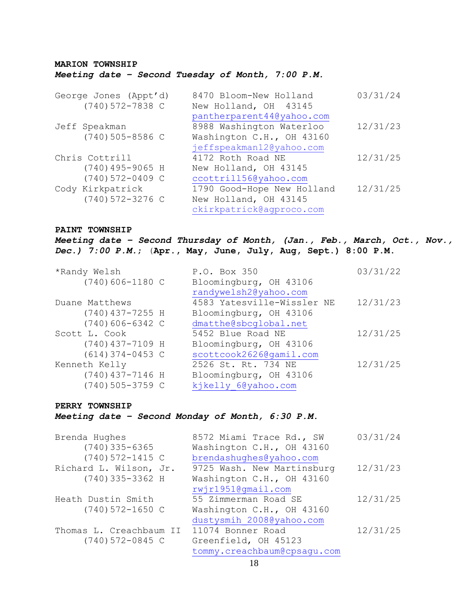## **MARION TOWNSHIP** *Meeting date – Second Tuesday of Month, 7:00 P.M.*

| George Jones (Appt'd) | 8470 Bloom-New Holland     | 03/31/24 |
|-----------------------|----------------------------|----------|
| $(740)$ 572-7838 C    | New Holland, OH 43145      |          |
|                       | pantherparent44@yahoo.com  |          |
| Jeff Speakman         | 8988 Washington Waterloo   | 12/31/23 |
| $(740)$ 505-8586 C    | Washington C.H., OH 43160  |          |
|                       | jeffspeakman12@yahoo.com   |          |
| Chris Cottrill        | 4172 Roth Road NE          | 12/31/25 |
| $(740)$ 495-9065 H    | New Holland, OH 43145      |          |
| $(740)$ 572-0409 C    | ccottrill56@yahoo.com      |          |
| Cody Kirkpatrick      | 1790 Good-Hope New Holland | 12/31/25 |
| $(740)$ 572-3276 C    | New Holland, OH 43145      |          |
|                       | ckirkpatrick@agproco.com   |          |

#### **PAINT TOWNSHIP**

*Meeting date – Second Thursday of Month, (Jan., Feb., March, Oct., Nov., Dec.) 7:00 P.M.*; (**Apr., May, June, July, Aug, Sept.) 8:00 P.M.** 

| *Randy Welsh        | P.O. Box 350               | 03/31/22 |
|---------------------|----------------------------|----------|
| $(740)$ 606-1180 C  | Bloomingburg, OH 43106     |          |
|                     | randywelsh2@yahoo.com      |          |
| Duane Matthews      | 4583 Yatesville-Wissler NE | 12/31/23 |
| $(740)$ 437-7255 H  | Bloomingburg, OH 43106     |          |
| $(740)606 - 6342$ C | dmatthe@sbcqlobal.net      |          |
| Scott L. Cook       | 5452 Blue Road NE          | 12/31/25 |
| $(740)$ 437-7109 H  | Bloomingburg, OH 43106     |          |
| $(614)$ 374-0453 C  | scottcook2626@qamil.com    |          |
| Kenneth Kelly       | 2526 St. Rt. 734 NE        | 12/31/25 |
| (740) 437-7146 H    | Bloomingburg, OH 43106     |          |
| $(740)$ 505-3759 C  | kjkelly 6@yahoo.com        |          |

#### **PERRY TOWNSHIP**

#### *Meeting date – Second Monday of Month, 6:30 P.M.*

| Brenda Hughes           | 8572 Miami Trace Rd., SW    | 03/31/24 |
|-------------------------|-----------------------------|----------|
| $(740)$ 335-6365        | Washington C.H., OH 43160   |          |
| $(740) 572 - 1415$ C    | brendashughes@yahoo.com     |          |
| Richard L. Wilson, Jr.  | 9725 Wash. New Martinsburg  | 12/31/23 |
| $(740)$ 335-3362 H      | Washington C.H., OH 43160   |          |
|                         | rwir1951@qmail.com          |          |
| Heath Dustin Smith      | 55 Zimmerman Road SE        | 12/31/25 |
| $(740) 572 - 1650$ C    | Washington C.H., OH 43160   |          |
|                         | dustysmih 2008@yahoo.com    |          |
| Thomas L. Creachbaum II | 11074 Bonner Road           | 12/31/25 |
| $(740) 572 - 0845$ C    | Greenfield, OH 45123        |          |
|                         | tommy.creachbaum@cpsaqu.com |          |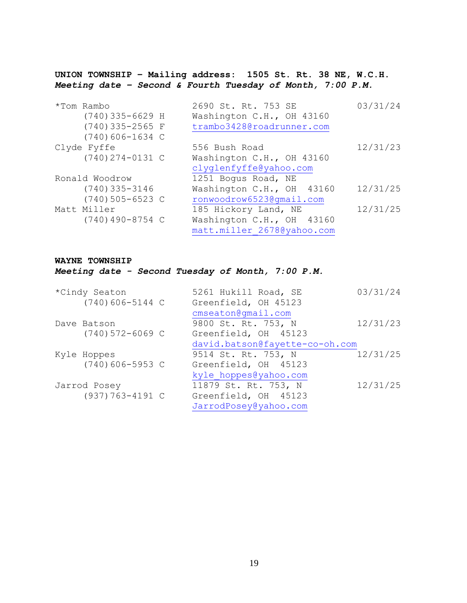**UNION TOWNSHIP – Mailing address: 1505 St. Rt. 38 NE, W.C.H.** *Meeting date – Second & Fourth Tuesday of Month, 7:00 P.M.*

| *Tom Rambo         | 2690 St. Rt. 753 SE        | 03/31/24 |
|--------------------|----------------------------|----------|
| $(740)$ 335-6629 H | Washington C.H., OH 43160  |          |
| $(740)$ 335-2565 F | trambo3428@roadrunner.com  |          |
| $(740)$ 606-1634 C |                            |          |
| Clyde Fyffe        | 556 Bush Road              | 12/31/23 |
| $(740)$ 274-0131 C | Washington C.H., OH 43160  |          |
|                    | clyglenfyffe@yahoo.com     |          |
| Ronald Woodrow     | 1251 Bogus Road, NE        |          |
| $(740)$ 335-3146   | Washington C.H., OH 43160  | 12/31/25 |
| $(740)$ 505-6523 C | ronwoodrow6523@qmail.com   |          |
| Matt Miller        | 185 Hickory Land, NE       | 12/31/25 |
| $(740)$ 490-8754 C | Washington C.H., OH 43160  |          |
|                    | matt.miller 2678@yahoo.com |          |

#### **WAYNE TOWNSHIP**

*Meeting date - Second Tuesday of Month, 7:00 P.M.*

| *Cindy Seaton        | 5261 Hukill Road, SE           | 03/31/24 |  |
|----------------------|--------------------------------|----------|--|
| $(740)$ 606-5144 C   | Greenfield, OH 45123           |          |  |
|                      | $cmsc = 1.$ $comsc = 1.$       |          |  |
| Dave Batson          | 9800 St. Rt. 753, N            | 12/31/23 |  |
| $(740)$ 572-6069 C   | Greenfield, OH 45123           |          |  |
|                      | david.batson@fayette-co-oh.com |          |  |
| Kyle Hoppes          | 9514 St. Rt. 753, N            | 12/31/25 |  |
| $(740)$ 606-5953 C   | Greenfield, OH 45123           |          |  |
|                      | kyle hoppes@yahoo.com          |          |  |
| Jarrod Posey         | 11879 St. Rt. 753, N           | 12/31/25 |  |
| $(937) 763 - 4191$ C | Greenfield, OH 45123           |          |  |
|                      | JarrodPosey@yahoo.com          |          |  |
|                      |                                |          |  |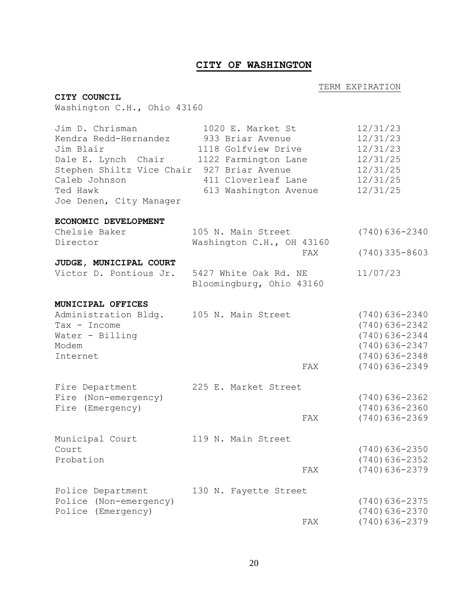## **CITY OF WASHINGTON**

#### **TERM EXPIRATION**

### **CITY COUNCIL**

Washington C.H., Ohio 43160

| Jim D. Chrisman<br>Kendra Redd-Hernandez<br>Jim Blair<br>Dale E. Lynch Chair<br>Stephen Shiltz Vice Chair 927 Briar Avenue<br>Caleb Johnson<br>Ted Hawk<br>Joe Denen, City Manager | 1020 E. Market St<br>933 Briar Avenue<br>1118 Golfview Drive<br>1122 Farmington Lane<br>411 Cloverleaf Lane<br>613 Washington Avenue |     | 12/31/23<br>12/31/23<br>12/31/23<br>12/31/25<br>12/31/25<br>12/31/25<br>12/31/25                   |
|------------------------------------------------------------------------------------------------------------------------------------------------------------------------------------|--------------------------------------------------------------------------------------------------------------------------------------|-----|----------------------------------------------------------------------------------------------------|
| ECONOMIC DEVELOPMENT                                                                                                                                                               |                                                                                                                                      |     |                                                                                                    |
| Chelsie Baker<br>Director                                                                                                                                                          | 105 N. Main Street<br>Washington C.H., OH 43160                                                                                      |     | $(740)636 - 2340$                                                                                  |
|                                                                                                                                                                                    |                                                                                                                                      | FAX | $(740)$ 335-8603                                                                                   |
| JUDGE, MUNICIPAL COURT<br>Victor D. Pontious Jr.                                                                                                                                   | 5427 White Oak Rd. NE<br>Bloomingburg, Ohio 43160                                                                                    |     | 11/07/23                                                                                           |
| MUNICIPAL OFFICES                                                                                                                                                                  |                                                                                                                                      |     |                                                                                                    |
| Administration Bldg.<br>Tax - Income<br>Water - Billing<br>Modem<br>Internet                                                                                                       | 105 N. Main Street                                                                                                                   |     | $(740)636 - 2340$<br>$(740)$ 636-2342<br>$(740)636 - 2344$<br>$(740)$ 636-2347<br>$(740)$ 636-2348 |
|                                                                                                                                                                                    |                                                                                                                                      | FAX | $(740)$ 636-2349                                                                                   |
| Fire Department                                                                                                                                                                    | 225 E. Market Street                                                                                                                 |     |                                                                                                    |
| Fire (Non-emergency)<br>Fire (Emergency)                                                                                                                                           |                                                                                                                                      |     | $(740)$ 636-2362<br>$(740)$ 636-2360                                                               |
|                                                                                                                                                                                    |                                                                                                                                      | FAX | $(740)636 - 2369$                                                                                  |
| Municipal Court                                                                                                                                                                    | 119 N. Main Street                                                                                                                   |     |                                                                                                    |
| Court<br>Probation                                                                                                                                                                 |                                                                                                                                      |     | $(740)$ 636-2350<br>$(740)$ 636-2352                                                               |
|                                                                                                                                                                                    |                                                                                                                                      | FAX | $(740)$ 636-2379                                                                                   |
| Police Department                                                                                                                                                                  | 130 N. Fayette Street                                                                                                                |     |                                                                                                    |
| Police<br>(Non-emergency)<br>Police (Emergency)                                                                                                                                    |                                                                                                                                      |     | $(740)$ 636-2375<br>$(740)$ 636-2370                                                               |
|                                                                                                                                                                                    |                                                                                                                                      | FAX | $(740)636 - 2379$                                                                                  |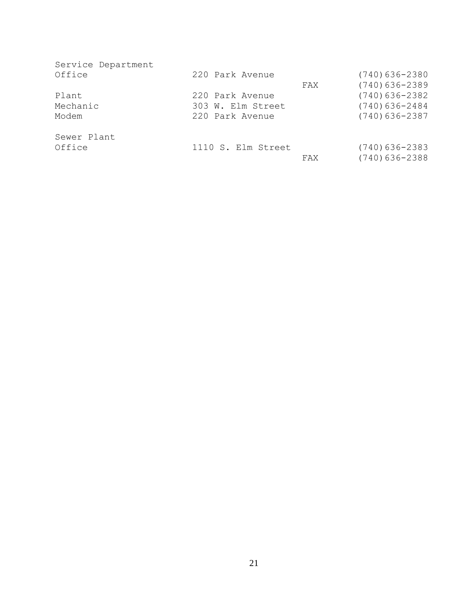| Service Department<br>Office | 220 Park Avenue    |     | $(740)$ 636-2380 |
|------------------------------|--------------------|-----|------------------|
|                              |                    | FAX | $(740)$ 636-2389 |
| Plant                        | 220 Park Avenue    |     | $(740)$ 636-2382 |
| Mechanic                     | 303 W. Elm Street  |     | $(740)$ 636-2484 |
| Modem                        | 220 Park Avenue    |     | $(740)$ 636-2387 |
| Sewer Plant                  |                    |     |                  |
| Office                       | 1110 S. Elm Street |     | $(740)$ 636-2383 |
|                              |                    | FAX | $(740)$ 636-2388 |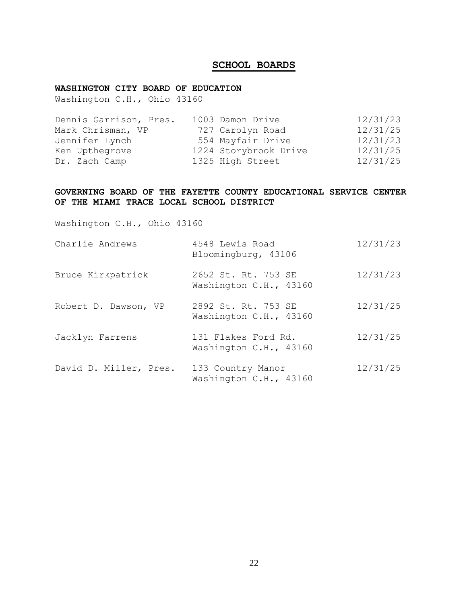## **SCHOOL BOARDS**

## **WASHINGTON CITY BOARD OF EDUCATION**

Washington C.H., Ohio 43160

| Dennis Garrison, Pres. | 1003 Damon Drive      | 12/31/23 |
|------------------------|-----------------------|----------|
| Mark Chrisman, VP      | 727 Carolyn Road      | 12/31/25 |
| Jennifer Lynch         | 554 Mayfair Drive     | 12/31/23 |
| Ken Upthegrove         | 1224 Storybrook Drive | 12/31/25 |
| Dr. Zach Camp          | 1325 High Street      | 12/31/25 |

#### **GOVERNING BOARD OF THE FAYETTE COUNTY EDUCATIONAL SERVICE CENTER OF THE MIAMI TRACE LOCAL SCHOOL DISTRICT**

Washington C.H., Ohio 43160

| Charlie Andrews        | 4548 Lewis Road<br>Bloomingburg, 43106        | 12/31/23 |
|------------------------|-----------------------------------------------|----------|
| Bruce Kirkpatrick      | 2652 St. Rt. 753 SE<br>Washington C.H., 43160 | 12/31/23 |
| Robert D. Dawson, VP   | 2892 St. Rt. 753 SE<br>Washington C.H., 43160 | 12/31/25 |
| Jacklyn Farrens        | 131 Flakes Ford Rd.<br>Washington C.H., 43160 | 12/31/25 |
| David D. Miller, Pres. | 133 Country Manor<br>Washington C.H., 43160   | 12/31/25 |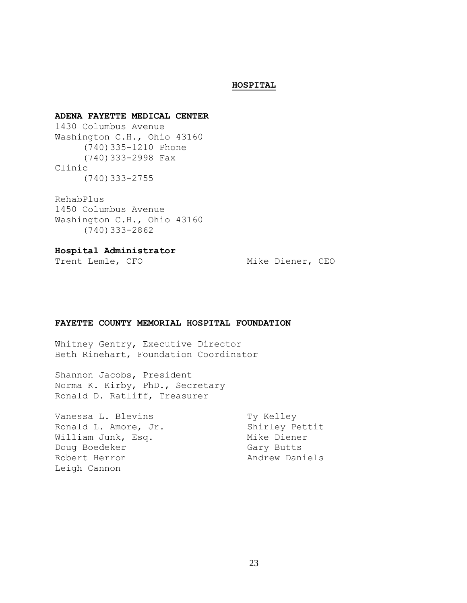#### **HOSPITAL**

#### **ADENA FAYETTE MEDICAL CENTER**

1430 Columbus Avenue Washington C.H., Ohio 43160 (740)335-1210 Phone (740)333-2998 Fax Clinic (740)333-2755

## RehabPlus

1450 Columbus Avenue Washington C.H., Ohio 43160 (740)333-2862

#### **Hospital Administrator**

Trent Lemle, CFO Mike Diener, CEO

#### **FAYETTE COUNTY MEMORIAL HOSPITAL FOUNDATION**

Whitney Gentry, Executive Director Beth Rinehart, Foundation Coordinator

Shannon Jacobs, President Norma K. Kirby, PhD., Secretary Ronald D. Ratliff, Treasurer

Vanessa L. Blevins Ty Kelley Ronald L. Amore, Jr. Shirley Pettit William Junk, Esq. Mike Diener Doug Boedeker Gary Butts Robert Herron **Andrew Daniels** Leigh Cannon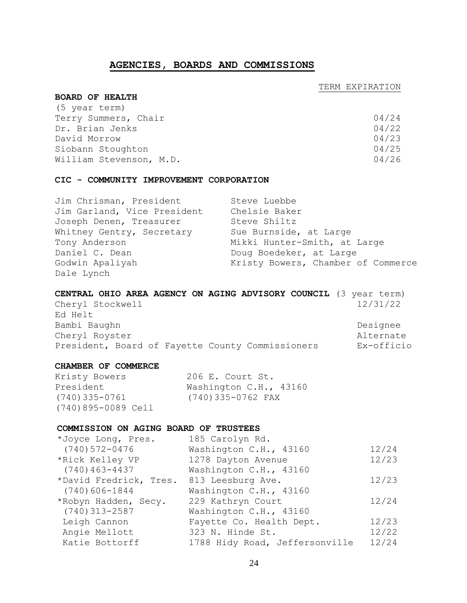### **AGENCIES, BOARDS AND COMMISSIONS**

#### TERM EXPIRATION

#### **BOARD OF HEALTH**

| 04/24 |
|-------|
| 04/22 |
| 04/23 |
| 04/25 |
| 04/26 |
|       |

#### **CIC - COMMUNITY IMPROVEMENT CORPORATION**

| Jim Chrisman, President     | Steve Luebbe                       |
|-----------------------------|------------------------------------|
| Jim Garland, Vice President | Chelsie Baker                      |
| Joseph Denen, Treasurer     | Steve Shiltz                       |
| Whitney Gentry, Secretary   | Sue Burnside, at Large             |
| Tony Anderson               | Mikki Hunter-Smith, at Large       |
| Daniel C. Dean              | Doug Boedeker, at Large            |
| Godwin Apaliyah             | Kristy Bowers, Chamber of Commerce |
| Dale Lynch                  |                                    |

| CENTRAL OHIO AREA AGENCY ON AGING ADVISORY COUNCIL (3 year term) |            |
|------------------------------------------------------------------|------------|
| Cheryl Stockwell                                                 | 12/31/22   |
| Ed Helt                                                          |            |
| Bambi Baughn                                                     | Designee   |
| Cheryl Royster                                                   | Alternate  |
| President, Board of Fayette County Commissioners                 | Ex-officio |

#### **CHAMBER OF COMMERCE**

| Kristy Bowers      | 206 E. Court St.       |
|--------------------|------------------------|
| President          | Washington C.H., 43160 |
| (740)335-0761      | (740)335-0762 FAX      |
| (740)895-0089 Cell |                        |

#### **COMMISSION ON AGING BOARD OF TRUSTEES**

| *Joyce Long, Pres.                       | 185 Carolyn Rd.                |       |
|------------------------------------------|--------------------------------|-------|
| $(740)572 - 0476$                        | Washington C.H., 43160         | 12/24 |
| *Rick Kelley VP                          | 1278 Dayton Avenue             | 12/23 |
| $(740)$ 463-4437                         | Washington C.H., 43160         |       |
| *David Fredrick, Tres. 813 Leesburg Ave. |                                | 12/23 |
| $(740)606 - 1844$                        | Washington C.H., 43160         |       |
| *Robyn Hadden, Secy.                     | 229 Kathryn Court              | 12/24 |
| $(740)$ 313-2587                         | Washington C.H., 43160         |       |
| Leigh Cannon                             | Fayette Co. Health Dept.       | 12/23 |
| Angie Mellott                            | 323 N. Hinde St.               | 12/22 |
| Katie Bottorff                           | 1788 Hidy Road, Jeffersonville | 12/24 |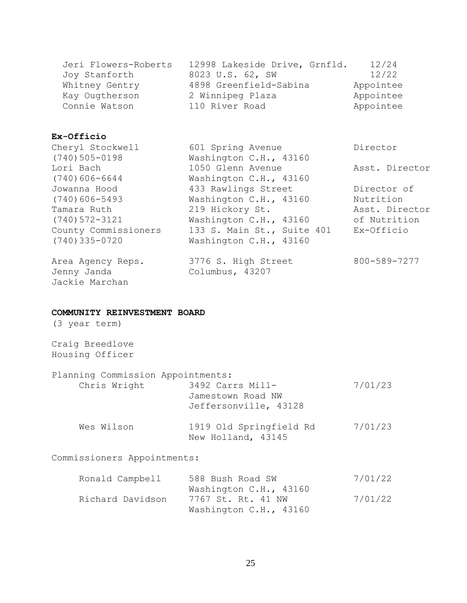| 12/24<br>Jeri Flowers-Roberts<br>12998 Lakeside Drive, Grnfld. |
|----------------------------------------------------------------|
| 12/22<br>Joy Stanforth<br>8023 U.S. 62, SW                     |
| 4898 Greenfield-Sabina<br>Appointee<br>Whitney Gentry          |
| 2 Winnipeg Plaza<br>Appointee<br>Kay Ougtherson                |
| 110 River Road<br>Connie Watson<br>Appointee                   |

### **Ex-Officio**

| Cheryl Stockwell     | 601 Spring Avenue          | Director       |
|----------------------|----------------------------|----------------|
| $(740)$ 505-0198     | Washington C.H., 43160     |                |
| Lori Bach            | 1050 Glenn Avenue          | Asst. Director |
| $(740)606 - 6644$    | Washington C.H., 43160     |                |
| Jowanna Hood         | 433 Rawlings Street        | Director of    |
| $(740)606 - 5493$    | Washington C.H., 43160     | Nutrition      |
| Tamara Ruth          | 219 Hickory St.            | Asst. Director |
| $(740)572 - 3121$    | Washington C.H., 43160     | of Nutrition   |
| County Commissioners | 133 S. Main St., Suite 401 | Ex-Officio     |
| $(740)$ 335-0720     | Washington C.H., 43160     |                |
| Area Agency Reps.    | 3776 S. High Street        | 800-589-7277   |
| Jenny Janda          | Columbus, 43207            |                |
| Jackie Marchan       |                            |                |

### **COMMUNITY REINVESTMENT BOARD**

(3 year term)

## Craig Breedlove Housing Officer

| Planning Commission Appointments: |                                                                |         |
|-----------------------------------|----------------------------------------------------------------|---------|
| Chris Wright                      | 3492 Carrs Mill-<br>Jamestown Road NW<br>Jeffersonville, 43128 | 7/01/23 |
| Wes Wilson                        | 1919 Old Springfield Rd<br>New Holland, 43145                  | 7/01/23 |

## Commissioners Appointments:

| Ronald Campbell  | 588 Bush Road SW       | 7/01/22 |
|------------------|------------------------|---------|
|                  | Washington C.H., 43160 |         |
| Richard Davidson | 7767 St. Rt. 41 NW     | 7/01/22 |
|                  | Washington C.H., 43160 |         |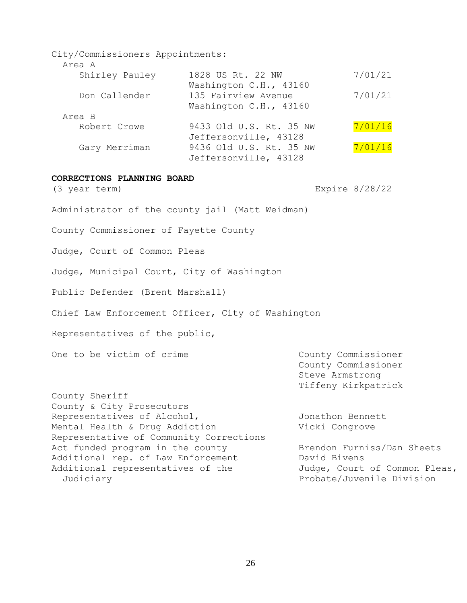| City/Commissioners Appointments: |                         |         |
|----------------------------------|-------------------------|---------|
| Area A                           |                         |         |
| Shirley Pauley                   | 1828 US Rt. 22 NW       | 7/01/21 |
|                                  | Washington C.H., 43160  |         |
| Don Callender                    | 135 Fairview Avenue     | 7/01/21 |
|                                  | Washington C.H., 43160  |         |
| Area B                           |                         |         |
| Robert Crowe                     | 9433 Old U.S. Rt. 35 NW | 7/01/16 |
|                                  | Jeffersonville, 43128   |         |
| Gary Merriman                    | 9436 Old U.S. Rt. 35 NW | 7/01/16 |
|                                  | Jeffersonville, 43128   |         |
|                                  |                         |         |

#### **CORRECTIONS PLANNING BOARD**

(3 year term) Expire 8/28/22

Administrator of the county jail (Matt Weidman)

County Commissioner of Fayette County

Judge, Court of Common Pleas

Judge, Municipal Court, City of Washington

Public Defender (Brent Marshall)

Chief Law Enforcement Officer, City of Washington

Representatives of the public,

One to be victim of crime The County Commissioner

County Commissioner Steve Armstrong Tiffeny Kirkpatrick

County Sheriff County & City Prosecutors Representatives of Alcohol, and allocated Jonathon Bennett Mental Health & Drug Addiction Vicki Congrove Representative of Community Corrections Act funded program in the county **Brendon Furniss/Dan Sheets** Additional rep. of Law Enforcement David Bivens Additional representatives of the Judge, Court of Common Pleas, Judiciary Probate/Juvenile Division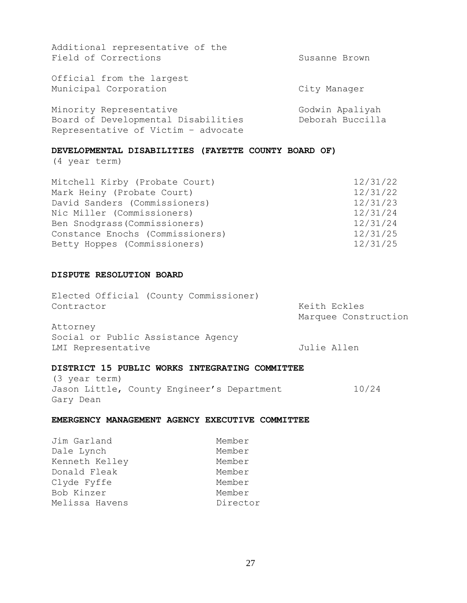| Additional representative of the    |                  |
|-------------------------------------|------------------|
| Field of Corrections                | Susanne Brown    |
| Official from the largest           |                  |
| Municipal Corporation               | City Manager     |
| Minority Representative             | Godwin Apaliyah  |
| Board of Developmental Disabilities | Deborah Buccilla |
| Representative of Victim - advocate |                  |

#### **DEVELOPMENTAL DISABILITIES (FAYETTE COUNTY BOARD OF)**

(4 year term)

| Mitchell Kirby (Probate Court)   | 12/31/22 |
|----------------------------------|----------|
| Mark Heiny (Probate Court)       | 12/31/22 |
| David Sanders (Commissioners)    | 12/31/23 |
| Nic Miller (Commissioners)       | 12/31/24 |
| Ben Snodgrass (Commissioners)    | 12/31/24 |
| Constance Enochs (Commissioners) | 12/31/25 |
| Betty Hoppes (Commissioners)     | 12/31/25 |

#### **DISPUTE RESOLUTION BOARD**

| Elected Official (County Commissioner) |  |              |                      |
|----------------------------------------|--|--------------|----------------------|
| Contractor                             |  | Keith Eckles | Marquee Construction |
| Attorney                               |  |              |                      |
| Social or Public Assistance Agency     |  |              |                      |

LMI Representative and the Julie Allen

### **DISTRICT 15 PUBLIC WORKS INTEGRATING COMMITTEE**

(3 year term) Jason Little, County Engineer's Department 10/24 Gary Dean

### **EMERGENCY MANAGEMENT AGENCY EXECUTIVE COMMITTEE**

| Jim Garland    | Member   |
|----------------|----------|
| Dale Lynch     | Member   |
| Kenneth Kelley | Member   |
| Donald Fleak   | Member   |
| Clyde Fyffe    | Member   |
| Bob Kinzer     | Member   |
| Melissa Havens | Director |
|                |          |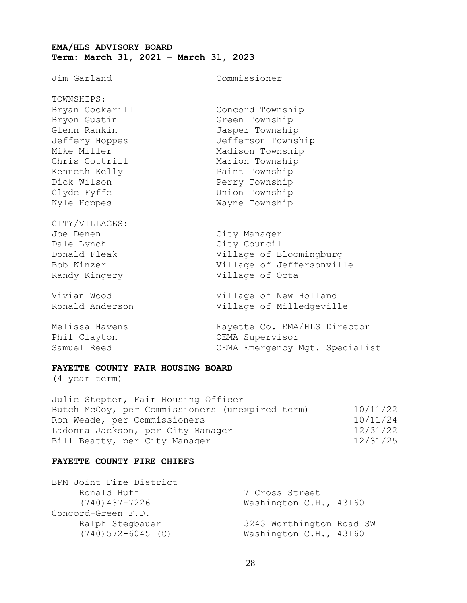### **EMA/HLS ADVISORY BOARD Term: March 31, 2021 – March 31, 2023**

Jim Garland Commissioner

| TOWNSHIPS:      |                    |
|-----------------|--------------------|
| Bryan Cockerill | Concord Township   |
| Bryon Gustin    | Green Township     |
| Glenn Rankin    | Jasper Township    |
| Jeffery Hoppes  | Jefferson Township |
| Mike Miller     | Madison Township   |
| Chris Cottrill  | Marion Township    |
| Kenneth Kelly   | Paint Township     |
| Dick Wilson     | Perry Township     |
| Clyde Fyffe     | Union Township     |
| Kyle Hoppes     | Wayne Township     |
|                 |                    |

CITY/VILLAGES: Joe Denen City Manager Dale Lynch City Council

Donald Fleak Village of Bloomingburg Bob Kinzer Village of Jeffersonville Randy Kingery **Village of Octa** 

Vivian Wood Village of New Holland Ronald Anderson Village of Milledgeville

Melissa Havens Fayette Co. EMA/HLS Director Phil Clayton OEMA Supervisor Samuel Reed **CEMA** Emergency Mgt. Specialist

#### **FAYETTE COUNTY FAIR HOUSING BOARD**

(4 year term)

| 10/11/22 |
|----------|
| 10/11/24 |
| 12/31/22 |
| 12/31/25 |
|          |

#### **FAYETTE COUNTY FIRE CHIEFS**

| 7 Cross Street |                                                                              |
|----------------|------------------------------------------------------------------------------|
|                |                                                                              |
|                |                                                                              |
|                |                                                                              |
|                |                                                                              |
|                | Washington C.H., 43160<br>3243 Worthington Road SW<br>Washington C.H., 43160 |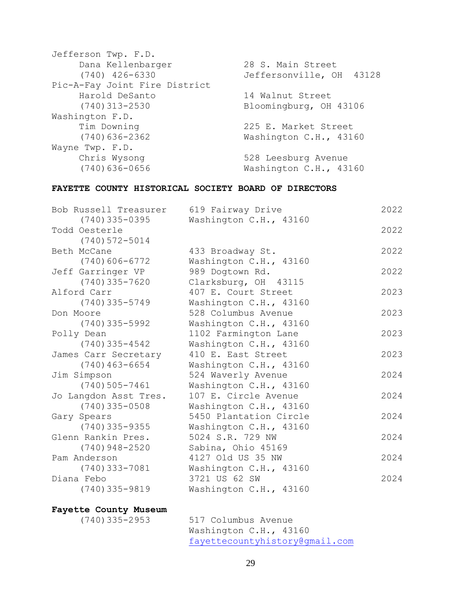| Jefferson Twp. F.D.           |                          |
|-------------------------------|--------------------------|
| Dana Kellenbarger             | 28 S. Main Street        |
| $(740)$ 426-6330              | Jeffersonville, OH 43128 |
| Pic-A-Fay Joint Fire District |                          |
| Harold DeSanto                | 14 Walnut Street         |
| $(740)$ 313-2530              | Bloomingburg, OH 43106   |
| Washington F.D.               |                          |
| Tim Downing                   | 225 E. Market Street     |
| $(740)$ 636-2362              | Washington C.H., 43160   |
| Wayne Twp. F.D.               |                          |
| Chris Wysong                  | 528 Leesburg Avenue      |
| $(740)$ 636-0656              | Washington C.H., 43160   |
|                               |                          |

### **FAYETTE COUNTY HISTORICAL SOCIETY BOARD OF DIRECTORS**

| Bob Russell Treasurer | 619 Fairway Drive      | 2022 |
|-----------------------|------------------------|------|
| $(740)$ 335-0395      | Washington C.H., 43160 |      |
| Todd Oesterle         |                        | 2022 |
| $(740)572 - 5014$     |                        |      |
| Beth McCane           | 433 Broadway St.       | 2022 |
| $(740)606 - 6772$     | Washington C.H., 43160 |      |
| Jeff Garringer VP     | 989 Dogtown Rd.        | 2022 |
| $(740)$ 335-7620      | Clarksburg, OH 43115   |      |
| Alford Carr           | 407 E. Court Street    | 2023 |
| (740)335-5749         | Washington C.H., 43160 |      |
| Don Moore             | 528 Columbus Avenue    | 2023 |
| $(740)$ 335-5992      | Washington C.H., 43160 |      |
| Polly Dean            | 1102 Farmington Lane   | 2023 |
| $(740)$ 335-4542      | Washington C.H., 43160 |      |
| James Carr Secretary  | 410 E. East Street     | 2023 |
| $(740)$ 463-6654      | Washington C.H., 43160 |      |
| Jim Simpson           | 524 Waverly Avenue     | 2024 |
| $(740)505 - 7461$     | Washington C.H., 43160 |      |
| Jo Langdon Asst Tres. | 107 E. Circle Avenue   | 2024 |
| $(740)$ 335-0508      | Washington C.H., 43160 |      |
| Gary Spears           | 5450 Plantation Circle | 2024 |
| $(740)$ 335-9355      | Washington C.H., 43160 |      |
| Glenn Rankin Pres.    | 5024 S.R. 729 NW       | 2024 |
| $(740)$ 948-2520      | Sabina, Ohio 45169     |      |
| Pam Anderson          | 4127 Old US 35 NW      | 2024 |
| $(740)$ 333-7081      | Washington C.H., 43160 |      |
| Diana Febo            | 3721 US 62 SW          | 2024 |
| $(740)$ 335-9819      | Washington C.H., 43160 |      |
|                       |                        |      |

# **Fayette County Museum**

517 Columbus Avenue Washington C.H., 43160 [fayettecountyhistory@gmail.com](mailto:fayettecountyhistory@gmail.com)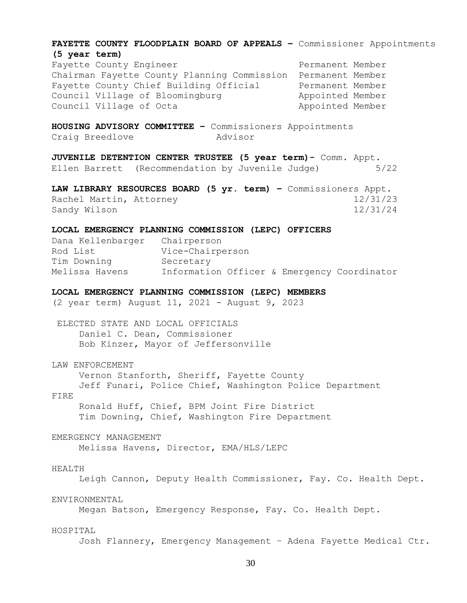**FAYETTE COUNTY FLOODPLAIN BOARD OF APPEALS –** Commissioner Appointments **(5 year term)** Fayette County Engineer **Permanent Member** Chairman Fayette County Planning Commission Permanent Member Fayette County Chief Building Official Permanent Member Council Village of Bloomingburg **Appointed Member** Council Village of Octa Appointed Member **HOUSING ADVISORY COMMITTEE –** Commissioners Appointments Craig Breedlove Movisor **JUVENILE DETENTION CENTER TRUSTEE (5 year term)-** Comm. Appt. Ellen Barrett (Recommendation by Juvenile Judge) 5/22 **LAW LIBRARY RESOURCES BOARD (5 yr. term) –** Commissioners Appt. Rachel Martin, Attorney 12/31/23 Sandy Wilson 12/31/24 **LOCAL EMERGENCY PLANNING COMMISSION (LEPC) OFFICERS** Dana Kellenbarger Chairperson Rod List Vice-Chairperson Tim Downing Secretary Melissa Havens Information Officer & Emergency Coordinator **LOCAL EMERGENCY PLANNING COMMISSION (LEPC) MEMBERS** (2 year term) August 11, 2021 - August 9, 2023 ELECTED STATE AND LOCAL OFFICIALS Daniel C. Dean, Commissioner Bob Kinzer, Mayor of Jeffersonville LAW ENFORCEMENT Vernon Stanforth, Sheriff, Fayette County Jeff Funari, Police Chief, Washington Police Department FIRE Ronald Huff, Chief, BPM Joint Fire District Tim Downing, Chief, Washington Fire Department EMERGENCY MANAGEMENT Melissa Havens, Director, EMA/HLS/LEPC

#### HEALTH

Leigh Cannon, Deputy Health Commissioner, Fay. Co. Health Dept.

#### ENVIRONMENTAL

Megan Batson, Emergency Response, Fay. Co. Health Dept.

#### HOSPITAL

Josh Flannery, Emergency Management – Adena Fayette Medical Ctr.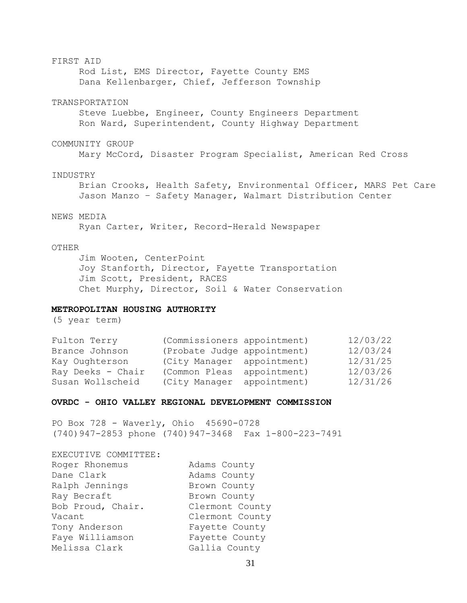#### FIRST AID

Rod List, EMS Director, Fayette County EMS Dana Kellenbarger, Chief, Jefferson Township

#### TRANSPORTATION

Steve Luebbe, Engineer, County Engineers Department Ron Ward, Superintendent, County Highway Department

#### COMMUNITY GROUP

Mary McCord, Disaster Program Specialist, American Red Cross

#### INDUSTRY

Brian Crooks, Health Safety, Environmental Officer, MARS Pet Care Jason Manzo – Safety Manager, Walmart Distribution Center

#### NEWS MEDIA

Ryan Carter, Writer, Record-Herald Newspaper

#### OTHER

Jim Wooten, CenterPoint Joy Stanforth, Director, Fayette Transportation Jim Scott, President, RACES Chet Murphy, Director, Soil & Water Conservation

#### **METROPOLITAN HOUSING AUTHORITY**

(5 year term)

| Fulton Terry      | (Commissioners appointment) | 12/03/22 |
|-------------------|-----------------------------|----------|
| Brance Johnson    | (Probate Judge appointment) | 12/03/24 |
| Kay Oughterson    | (City Manager appointment)  | 12/31/25 |
| Ray Deeks - Chair | (Common Pleas appointment)  | 12/03/26 |
| Susan Wollscheid  | (City Manager appointment)  | 12/31/26 |

#### **OVRDC - OHIO VALLEY REGIONAL DEVELOPMENT COMMISSION**

PO Box 728 - Waverly, Ohio 45690-0728 (740)947-2853 phone (740)947-3468 Fax 1-800-223-7491

| EXECUTIVE COMMITTEE: |                 |
|----------------------|-----------------|
| Roger Rhonemus       | Adams County    |
| Dane Clark           | Adams County    |
| Ralph Jennings       | Brown County    |
| Ray Becraft          | Brown County    |
| Bob Proud, Chair.    | Clermont County |
| Vacant               | Clermont County |
| Tony Anderson        | Fayette County  |
| Faye Williamson      | Fayette County  |
| Melissa Clark        | Gallia County   |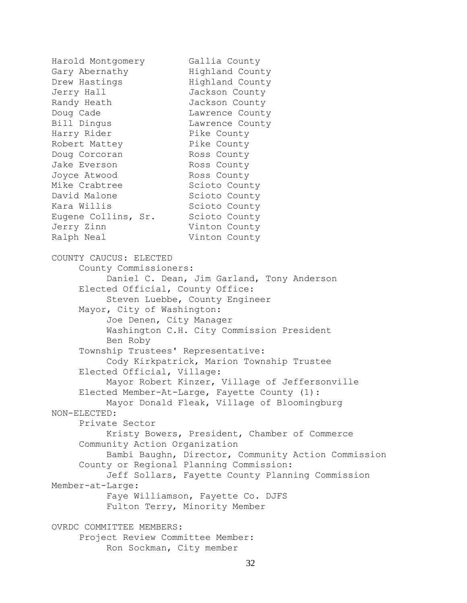Harold Montgomery Gallia County<br>Gary Abernathy Highland County Gary Abernathy Drew Hastings Highland County Jerry Hall Jackson County Randy Heath Jackson County Doug Cade Lawrence County Bill Dingus **Lawrence County** Harry Rider Pike County Robert Mattey Pike County Doug Corcoran Ross County Jake Everson Ross County Joyce Atwood Ross County Mike Crabtree Scioto County David Malone Scioto County Kara Willis Scioto County Eugene Collins, Sr. Scioto County Jerry Zinn Vinton County Ralph Neal Vinton County COUNTY CAUCUS: ELECTED County Commissioners: Daniel C. Dean, Jim Garland, Tony Anderson Elected Official, County Office: Steven Luebbe, County Engineer Mayor, City of Washington: Joe Denen, City Manager Washington C.H. City Commission President Ben Roby Township Trustees' Representative: Cody Kirkpatrick, Marion Township Trustee Elected Official, Village: Mayor Robert Kinzer, Village of Jeffersonville Elected Member-At-Large, Fayette County (1): Mayor Donald Fleak, Village of Bloomingburg NON-ELECTED: Private Sector Kristy Bowers, President, Chamber of Commerce Community Action Organization Bambi Baughn, Director, Community Action Commission County or Regional Planning Commission: Jeff Sollars, Fayette County Planning Commission Member-at-Large: Faye Williamson, Fayette Co. DJFS Fulton Terry, Minority Member OVRDC COMMITTEE MEMBERS: Project Review Committee Member:

```
Ron Sockman, City member
```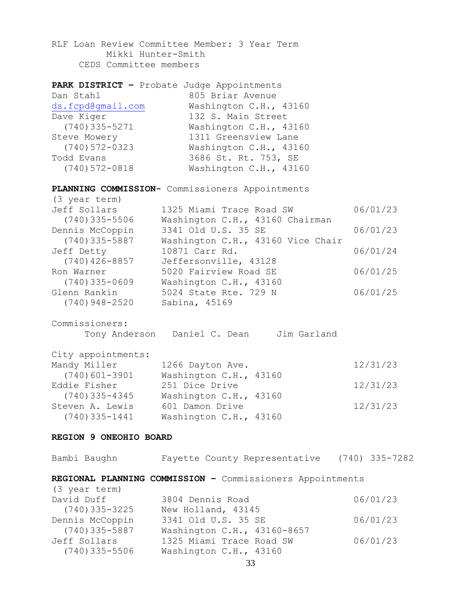RLF Loan Review Committee Member: 3 Year Term Mikki Hunter-Smith CEDS Committee members

| PARK DISTRICT - Probate Judge Appointments |                        |
|--------------------------------------------|------------------------|
| Dan Stahl                                  | 805 Briar Avenue       |
| ds.fcpd@qmail.com                          | Washington C.H., 43160 |
| Dave Kiger                                 | 132 S. Main Street     |
| $(740)$ 335-5271                           | Washington C.H., 43160 |
| Steve Mowery                               | 1311 Greensview Lane   |
| $(740)$ 572-0323                           | Washington C.H., 43160 |
| Todd Evans                                 | 3686 St. Rt. 753, SE   |
| $(740) 572 - 0818$                         | Washington C.H., 43160 |

**PLANNING COMMISSION-** Commissioners Appointments

| (3 year term)    |                                   |          |
|------------------|-----------------------------------|----------|
| Jeff Sollars     | 1325 Miami Trace Road SW          | 06/01/23 |
| $(740)$ 335-5506 | Washington C.H., 43160 Chairman   |          |
| Dennis McCoppin  | 3341 Old U.S. 35 SE               | 06/01/23 |
| $(740)$ 335-5887 | Washington C.H., 43160 Vice Chair |          |
| Jeff Detty       | 10871 Carr Rd.                    | 06/01/24 |
| $(740)$ 426-8857 | Jeffersonville, 43128             |          |
| Ron Warner       | 5020 Fairview Road SE             | 06/01/25 |
| $(740)$ 335-0609 | Washington C.H., 43160            |          |
| Glenn Rankin     | 5024 State Rte. 729 N             | 06/01/25 |
| $(740)$ 948-2520 | Sabina, 45169                     |          |

Commissioners:

Tony Anderson Daniel C. Dean Jim Garland

| City appointments: |                        |          |
|--------------------|------------------------|----------|
| Mandy Miller       | 1266 Dayton Ave.       | 12/31/23 |
| $(740)$ 601-3901   | Washington C.H., 43160 |          |
| Eddie Fisher       | 251 Dice Drive         | 12/31/23 |
| $(740)$ 335-4345   | Washington C.H., 43160 |          |
| Steven A. Lewis    | 601 Damon Drive        | 12/31/23 |
| $(740)$ 335-1441   | Washington C.H., 43160 |          |

#### **REGION 9 ONEOHIO BOARD**

| Bambi Baughn     | Fayette County Representative                             | $(740)$ 335-7282 |
|------------------|-----------------------------------------------------------|------------------|
|                  | REGIONAL PLANNING COMMISSION - Commissioners Appointments |                  |
| (3 year term)    |                                                           |                  |
| David Duff       | 3804 Dennis Road                                          | 06/01/23         |
| $(740)$ 335-3225 | New Holland, 43145                                        |                  |
| Dennis McCoppin  | 3341 Old U.S. 35 SE                                       | 06/01/23         |
| $(740)$ 335-5887 | Washington C.H., 43160-8657                               |                  |
| Jeff Sollars     | 1325 Miami Trace Road SW                                  | 06/01/23         |
| $(740)$ 335-5506 | Washington C.H., 43160                                    |                  |
|                  |                                                           |                  |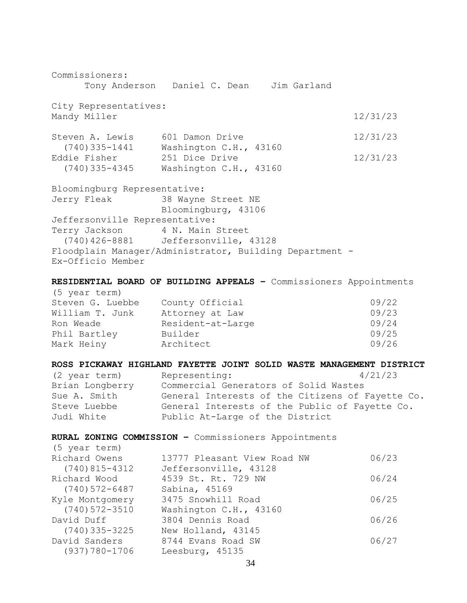Commissioners: Tony Anderson Daniel C. Dean Jim Garland City Representatives: Mandy Miller 12/31/23 Steven A. Lewis 601 Damon Drive 12/31/23 (740)335-1441 Washington C.H., 43160 Eddie Fisher 251 Dice Drive 2008 12/31/23 (740)335-4345 Washington C.H., 43160 Bloomingburg Representative: Jerry Fleak 38 Wayne Street NE Bloomingburg, 43106 Jeffersonville Representative: Terry Jackson 4 N. Main Street (740)426-8881 Jeffersonville, 43128 Floodplain Manager/Administrator, Building Department - Ex-Officio Member **RESIDENTIAL BOARD OF BUILDING APPEALS –** Commissioners Appointments (5 year term) Steven G. Luebbe County Official 09/22 William T. Junk Attorney at Law 09/23 Ron Weade **Resident-at-Large Resident** Resolution Resolution COS/24 Phil Bartley Builder 69/25 Mark Heiny **Architect 199/26 ROSS PICKAWAY HIGHLAND FAYETTE JOINT SOLID WASTE MANAGEMENT DISTRICT** (2 year term) Representing: 4/21/23 Brian Longberry Commercial Generators of Solid Wastes Sue A. Smith General Interests of the Citizens of Fayette Co. Steve Luebbe General Interests of the Public of Fayette Co. Judi White Public At-Large of the District **RURAL ZONING COMMISSION –** Commissioners Appointments (5 year term) Richard Owens 13777 Pleasant View Road NW 06/23 (740)815-4312 Jeffersonville, 43128 Richard Wood 4539 St. Rt. 729 NW 06/24 (740)572-6487 Sabina, 45169 Kyle Montgomery 3475 Snowhill Road 06/25 (740)572-3510 Washington C.H., 43160 David Duff 3804 Dennis Road 06/26 (740)335-3225 New Holland, 43145 David Sanders 8744 Evans Road SW 06/27 (937)780-1706 Leesburg, 45135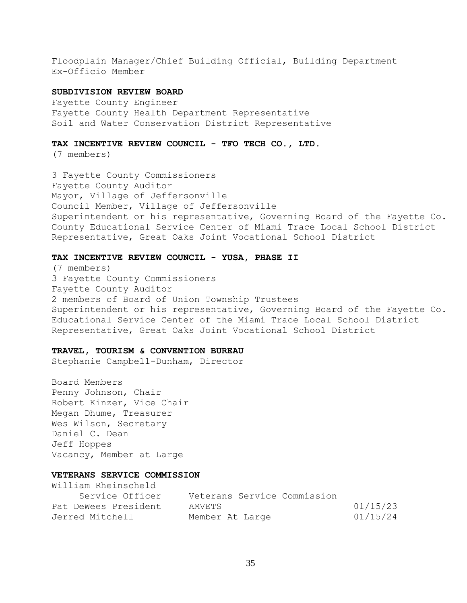Floodplain Manager/Chief Building Official, Building Department Ex-Officio Member

#### **SUBDIVISION REVIEW BOARD**

Fayette County Engineer Fayette County Health Department Representative Soil and Water Conservation District Representative

#### **TAX INCENTIVE REVIEW COUNCIL - TFO TECH CO., LTD.**

(7 members)

3 Fayette County Commissioners Fayette County Auditor Mayor, Village of Jeffersonville Council Member, Village of Jeffersonville Superintendent or his representative, Governing Board of the Fayette Co. County Educational Service Center of Miami Trace Local School District Representative, Great Oaks Joint Vocational School District

#### **TAX INCENTIVE REVIEW COUNCIL - YUSA, PHASE II**

(7 members) 3 Fayette County Commissioners Fayette County Auditor 2 members of Board of Union Township Trustees Superintendent or his representative, Governing Board of the Fayette Co. Educational Service Center of the Miami Trace Local School District Representative, Great Oaks Joint Vocational School District

#### **TRAVEL, TOURISM & CONVENTION BUREAU**

Stephanie Campbell-Dunham, Director

#### Board Members

Penny Johnson, Chair Robert Kinzer, Vice Chair Megan Dhume, Treasurer Wes Wilson, Secretary Daniel C. Dean Jeff Hoppes Vacancy, Member at Large

#### **VETERANS SERVICE COMMISSION**

William Rheinscheld

| Service Officer      | Veterans Service Commission |          |
|----------------------|-----------------------------|----------|
| Pat DeWees President | AMVETS                      | 01/15/23 |
| Jerred Mitchell      | Member At Large             | 01/15/24 |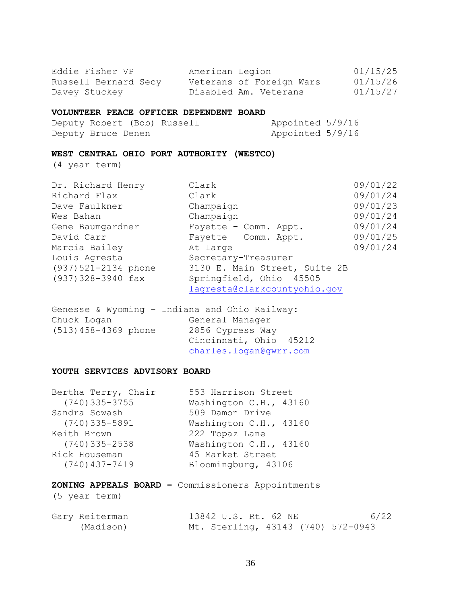| Eddie Fisher VP<br>Davey Stuckey                           | American Legion<br>Russell Bernard Secy Veterans of Foreign Wars<br>Disabled Am. Veterans | 01/15/25<br>01/15/26<br>01/15/27 |
|------------------------------------------------------------|-------------------------------------------------------------------------------------------|----------------------------------|
| VOLUNTEER PEACE OFFICER DEPENDENT BOARD                    |                                                                                           |                                  |
| Deputy Robert (Bob) Russell                                | Appointed 5/9/16                                                                          |                                  |
| Deputy Bruce Denen                                         | Appointed 5/9/16                                                                          |                                  |
| WEST CENTRAL OHIO PORT AUTHORITY (WESTCO)<br>(4 year term) |                                                                                           |                                  |
|                                                            |                                                                                           |                                  |
| Dr. Richard Henry                                          | Clark                                                                                     | 09/01/22                         |
| Richard Flax                                               | Clark                                                                                     | 09/01/24                         |
| Dave Faulkner                                              | Champaign                                                                                 | 09/01/23                         |
| Wes Bahan                                                  | Champaign                                                                                 | 09/01/24                         |
| Gene Baumgardner                                           | Fayette - Comm. Appt.                                                                     | 09/01/24                         |
| David Carr                                                 | Fayette - Comm. Appt.                                                                     | 09/01/25                         |
| Marcia Bailey                                              | At Large                                                                                  | 09/01/24                         |
| Louis Agresta                                              | Secretary-Treasurer                                                                       |                                  |
| (937) 521-2134 phone                                       | 3130 E. Main Street, Suite 2B                                                             |                                  |
| $(937)328 - 3940$ fax                                      | Springfield, Ohio 45505                                                                   |                                  |
|                                                            | lagresta@clarkcountyohio.gov                                                              |                                  |
| $Converso$ , $Mlyomina = Indians and Ohio$                 |                                                                                           |                                  |

|                        | Genesse & wyoming - indiana and Unio Kallway: |
|------------------------|-----------------------------------------------|
| Chuck Logan            | General Manager                               |
| $(513)$ 458-4369 phone | 2856 Cypress Way                              |
|                        | Cincinnati, Ohio 45212                        |
|                        | charles.logan@gwrr.com                        |
|                        |                                               |

### **YOUTH SERVICES ADVISORY BOARD**

| Bertha Terry, Chair | 553 Harrison Street    |
|---------------------|------------------------|
| $(740)$ 335-3755    | Washington C.H., 43160 |
| Sandra Sowash       | 509 Damon Drive        |
| $(740)$ 335-5891    | Washington C.H., 43160 |
| Keith Brown         | 222 Topaz Lane         |
| $(740)$ 335-2538    | Washington C.H., 43160 |
| Rick Houseman       | 45 Market Street       |
| $(740)$ 437-7419    | Bloomingburg, 43106    |
|                     |                        |

## **ZONING APPEALS BOARD –** Commissioners Appointments

(5 year term)

| Gary Reiterman | 13842 U.S. Rt. 62 NE               | 6/22 |
|----------------|------------------------------------|------|
| (Madison)      | Mt. Sterling, 43143 (740) 572-0943 |      |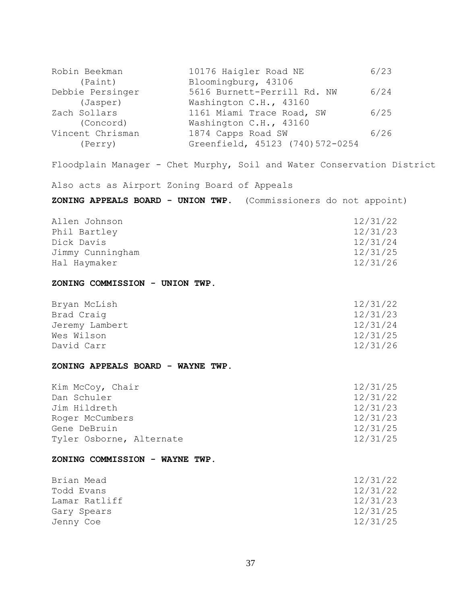| Robin Beekman                                | 10176 Haigler Road NE                                                  | 6/23                 |
|----------------------------------------------|------------------------------------------------------------------------|----------------------|
| (Paint)                                      | Bloomingburg, 43106                                                    |                      |
| Debbie Persinger<br>(Jasper)                 | 5616 Burnett-Perrill Rd. NW<br>Washington C.H., 43160                  | 6/24                 |
| Zach Sollars                                 | 1161 Miami Trace Road, SW                                              | 6/25                 |
| (Concord)                                    | Washington C.H., 43160                                                 |                      |
| Vincent Chrisman<br>(Perry)                  | 1874 Capps Road SW<br>Greenfield, 45123 (740) 572-0254                 | 6/26                 |
|                                              |                                                                        |                      |
|                                              | Floodplain Manager - Chet Murphy, Soil and Water Conservation District |                      |
| Also acts as Airport Zoning Board of Appeals |                                                                        |                      |
|                                              | ZONING APPEALS BOARD - UNION TWP. (Commissioners do not appoint)       |                      |
| Allen Johnson                                |                                                                        | 12/31/22             |
| Phil Bartley                                 |                                                                        | 12/31/23             |
| Dick Davis                                   |                                                                        | 12/31/24             |
| Jimmy Cunningham<br>Hal Haymaker             |                                                                        | 12/31/25<br>12/31/26 |
|                                              |                                                                        |                      |
| ZONING COMMISSION - UNION TWP.               |                                                                        |                      |
| Bryan McLish                                 |                                                                        | 12/31/22             |
| Brad Craig                                   |                                                                        | 12/31/23             |
| Jeremy Lambert                               |                                                                        | 12/31/24             |
| Wes Wilson<br>David Carr                     |                                                                        | 12/31/25<br>12/31/26 |
|                                              |                                                                        |                      |
| ZONING APPEALS BOARD - WAYNE TWP.            |                                                                        |                      |
| Kim McCoy, Chair                             |                                                                        | 12/31/25             |
| Dan Schuler                                  |                                                                        | 12/31/22             |
| Jim Hildreth                                 |                                                                        | 12/31/23             |
| Roger McCumbers                              |                                                                        | 12/31/23             |
| Gene DeBruin                                 |                                                                        | 12/31/25             |
| Tyler Osborne, Alternate                     |                                                                        | 12/31/25             |
| ZONING COMMISSION - WAYNE TWP.               |                                                                        |                      |
| Brian Mead                                   |                                                                        | 12/31/22             |
| Todd Evans                                   |                                                                        | 12/31/22             |
| Lamar Ratliff                                |                                                                        | 12/31/23             |
| Gary Spears                                  |                                                                        | 12/31/25             |
|                                              |                                                                        | 12/31/25             |